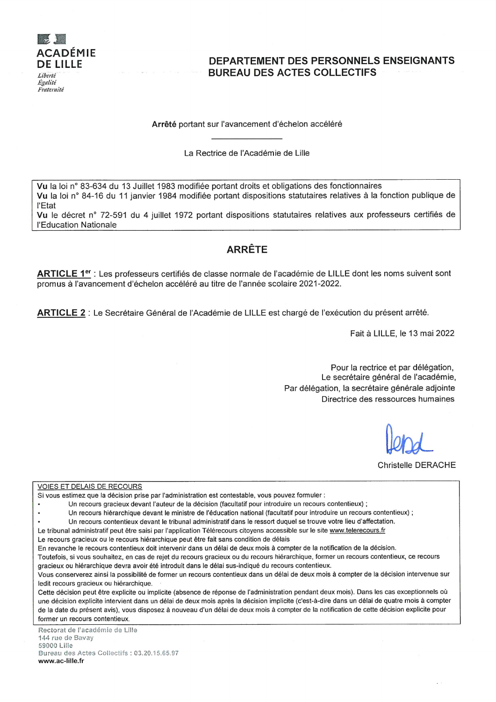

# DEPARTEMENT DES PERSONNELS ENSEIGNANTS **BUREAU DES ACTES COLLECTIFS**

Arrêté portant sur l'avancement d'échelon accéléré

La Rectrice de l'Académie de Lille

Vu la loi n° 83-634 du 13 Juillet 1983 modifiée portant droits et obligations des fonctionnaires Vu la loi n° 84-16 du 11 janvier 1984 modifiée portant dispositions statutaires relatives à la fonction publique de **l'Etat** 

Vu le décret n° 72-591 du 4 juillet 1972 portant dispositions statutaires relatives aux professeurs certifiés de l'Education Nationale

# **ARRÊTE**

ARTICLE 1<sup>er</sup> : Les professeurs certifiés de classe normale de l'académie de LILLE dont les noms suivent sont promus à l'avancement d'échelon accéléré au titre de l'année scolaire 2021-2022.

ARTICLE 2 : Le Secrétaire Général de l'Académie de LILLE est chargé de l'exécution du présent arrêté.

Fait à LILLE, le 13 mai 2022

Pour la rectrice et par délégation, Le secrétaire général de l'académie, Par délégation, la secrétaire générale adjointe Directrice des ressources humaines

**Christelle DERACHE** 

**VOIES ET DELAIS DE RECOURS** 

 $\bullet$ 

Si vous estimez que la décision prise par l'administration est contestable, vous pouvez formuler :

Un recours gracieux devant l'auteur de la décision (facultatif pour introduire un recours contentieux) ;

Un recours hiérarchique devant le ministre de l'éducation national (facultatif pour introduire un recours contentieux) ;

Un recours contentieux devant le tribunal administratif dans le ressort duquel se trouve votre lieu d'affectation.

Le tribunal administratif peut être saisi par l'application Télérecours citoyens accessible sur le site www.telerecours.fr

Le recours gracieux ou le recours hiérarchique peut être fait sans condition de délais

En revanche le recours contentieux doit intervenir dans un délai de deux mois à compter de la notification de la décision.

Toutefois, si vous souhaitez, en cas de rejet du recours gracieux ou du recours hiérarchique, former un recours contentieux, ce recours gracieux ou hiérarchique devra avoir été introduit dans le délai sus-indiqué du recours contentieux.

Vous conserverez ainsi la possibilité de former un recours contentieux dans un délai de deux mois à compter de la décision intervenue sur ledit recours gracieux ou hiérarchique.

Cette décision peut être explicite ou implicite (absence de réponse de l'administration pendant deux mois). Dans les cas exceptionnels où une décision explicite intervient dans un délai de deux mois après la décision implicite (c'est-à-dire dans un délai de quatre mois à compter de la date du présent avis), vous disposez à nouveau d'un délai de deux mois à compter de la notification de cette décision explicite pour former un recours contentieux.

Rectorat de l'académie de Lille 144 rue de Bavav 59000 Lille Bureau des Actes Collectifs : 03.20.15.65.97 www.ac-lille.fr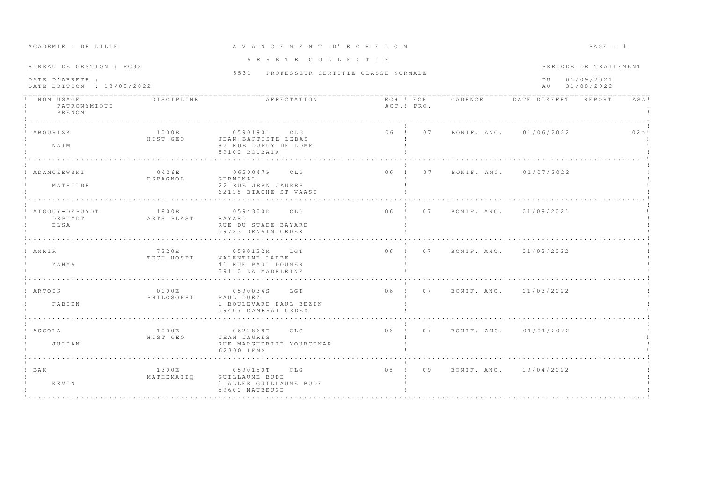| ACADEMIE : DE LILLE                                                      |                     | A V A N C E M E N T D' E C H E L O N                                           |                                |                                | PAGE : 1                                                        |        |  |
|--------------------------------------------------------------------------|---------------------|--------------------------------------------------------------------------------|--------------------------------|--------------------------------|-----------------------------------------------------------------|--------|--|
| BUREAU DE GESTION : PC32<br>DATE D'ARRETE :<br>DATE EDITION : 13/05/2022 |                     | ARRETE COLLECTIF<br>5531 PROFESSEUR CERTIFIE CLASSE NORMALE                    |                                |                                | PERIODE DE TRAITEMENT<br>01/09/2021<br>D U<br>31/08/2022<br>A U |        |  |
| NOM USAGE<br>PATRONYMIQUE<br>PRENOM                                      | DISCIPLINE          | AFFECTATION                                                                    | ACT.! PRO.                     |                                | ECH ! ECH CADENCE DATE D'EFFET REPORT                           | ASA!   |  |
| ABOURIZK<br>NAIM                                                         | 1000E<br>HIST GEO   | 0590190L CLG<br>JEAN-BAPTISTE LEBAS<br>82 RUE DUPUY DE LOME<br>59100 ROUBAIX   | 06 ! 07                        |                                | BONIF. ANC. 01/06/2022                                          | 0.2 m! |  |
| ADAMCZEWSKI<br>MATHILDE                                                  | 0426E<br>ESPAGNOL   | 0620047P CLG<br>GERMINAL<br>22 RUE JEAN JAURES<br>62118 BIACHE ST VAAST        | $06$ !<br>07                   |                                | BONIF. ANC. 01/07/2022                                          |        |  |
| AIGOUY-DEPUYDT<br>DEPUYDT<br>ELSA                                        | 1800E<br>ARTS PLAST | 0594300D<br>CLG<br>BAYARD<br>RUE DU STADE BAYARD<br>59723 DENAIN CEDEX         |                                | 06 ! 07 BONIF, ANC, 01/09/2021 |                                                                 |        |  |
| ! AMRIR<br>YAHYA                                                         | 7320E<br>TECH.HOSPI | 0590122M<br>LGT<br>VALENTINE LABBE<br>41 RUE PAUL DOUMER<br>59110 LA MADELEINE |                                | 06 ! 07 BONIF. ANC. 01/03/2022 |                                                                 |        |  |
| ! ARTOIS<br>FABIEN                                                       | 0100E<br>PHILOSOPHI | 0590034S LGT<br>PAUL DUEZ<br>1 BOULEVARD PAUL BEZIN<br>59407 CAMBRAI CEDEX     | 06 ! 07 BONIF. ANC. 01/03/2022 |                                |                                                                 |        |  |
| ! ASCOLA<br>JULIAN                                                       | 1000E<br>HIST GEO   | 0622868F CLG<br>JEAN JAURES<br>RUE MARGUERITE YOURCENAR<br>62300 LENS          | 06 ! 07 BONIF, ANC. 01/01/2022 |                                |                                                                 |        |  |
| $!$ BAK<br>KEVIN                                                         | 1300E<br>MATHEMATIO | 0590150T CLG<br>GUILLAUME BUDE<br>1 ALLEE GUILLAUME BUDE<br>59600 MAUBEUGE     | 08 <sub>1</sub><br>09          |                                | BONIF. ANC. 19/04/2022                                          |        |  |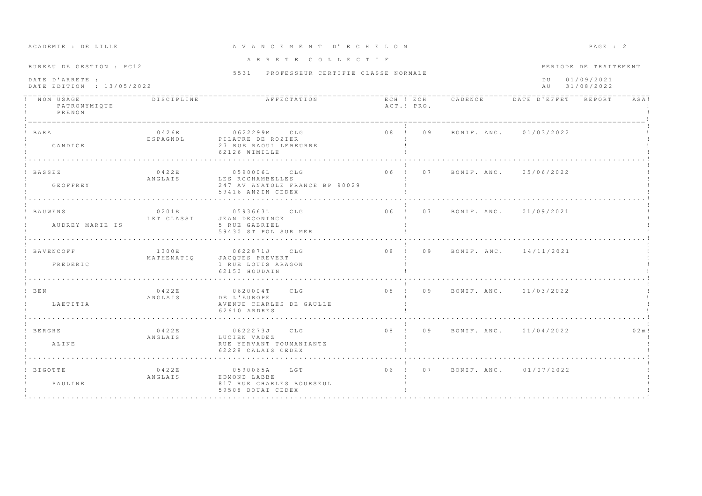| ACADEMIE : DE LILLE                                                      |                     | A V A N C E M E N T D' E C H E L O N                                                    |            |                                       |           | $PAGE$ : 2                                        |        |
|--------------------------------------------------------------------------|---------------------|-----------------------------------------------------------------------------------------|------------|---------------------------------------|-----------|---------------------------------------------------|--------|
| BUREAU DE GESTION : PC12<br>DATE D'ARRETE :<br>DATE EDITION : 13/05/2022 |                     | ARRETE COLLECTIF<br>5531 PROFESSEUR CERTIFIE CLASSE NORMALE                             |            |                                       | D U<br>AU | PERIODE DE TRAITEMENT<br>01/09/2021<br>31/08/2022 |        |
| NOM USAGE<br>PATRONYMIQUE<br>PRENOM                                      | DISCIPLINE          | AFFECTATION                                                                             | ACT.! PRO. | ECH ! ECH CADENCE DATE D'EFFET REPORT |           |                                                   | ASA!   |
| ! BARA<br>CANDICE                                                        | 0426E<br>ESPAGNOL   | 0622299M CLG<br>PILATRE DE ROZIER<br>27 RUE RAOUL LEBEURRE<br>62126 WIMILLE             |            | 08 ! 09 BONIF. ANC. 01/03/2022        |           |                                                   |        |
| ! BASSEZ<br>GEOFFREY                                                     | 0422E<br>ANGLAIS    | 0590006L CLG<br>LES ROCHAMBELLES<br>247 AV ANATOLE FRANCE BP 90029<br>59416 ANZIN CEDEX |            | 06 ! 07 BONIF ANC. 05/06/2022         |           |                                                   |        |
| BAUWENS<br>AUDREY MARIE IS                                               | 0201E<br>LET CLASSI | 05936631<br>CLG<br>JEAN DECONINCK<br>5 RUE GABRIEL<br>59430 ST POL SUR MER              |            | 06 ! 07 BONIF, ANC, 01/09/2021        |           |                                                   |        |
| ! BAVENCOFF<br>FREDERIC                                                  | 1300E<br>MATHEMATIQ | 0622871J<br>CLG<br>JACOUES PREVERT<br>1 RUE LOUIS ARAGON<br>62150 HOUDAIN               | 08! 09     | BONIF, ANC, 14/11/2021                |           |                                                   |        |
| ! BEN<br>LAETITIA                                                        | 0422E<br>ANGLAIS    | 0620004T CLG<br>DE L'EUROPE<br>AVENUE CHARLES DE GAULLE<br>62610 ARDRES                 |            | 08 ! 09 BONIF. ANC. 01/03/2022        |           |                                                   |        |
| ! BERGHE<br>ALINE                                                        | 0422E<br>ANGLAIS    | 0622273J CLG<br>LUCIEN VADEZ<br>RUE YERVANT TOUMANIANTZ<br>62228 CALAIS CEDEX           |            | 08 ! 09 BONIF, ANC. 01/04/2022        |           |                                                   | 0.2 m! |
| ! BIGOTTE<br>PAULINE                                                     | 0422E<br>ANGLAIS    | 0590065A LGT<br>EDMOND LABBE<br>817 RUE CHARLES BOURSEUL<br>59508 DOUAI CEDEX           |            | 06 ! 07 BONIF ANC . 01/07/2022        |           |                                                   |        |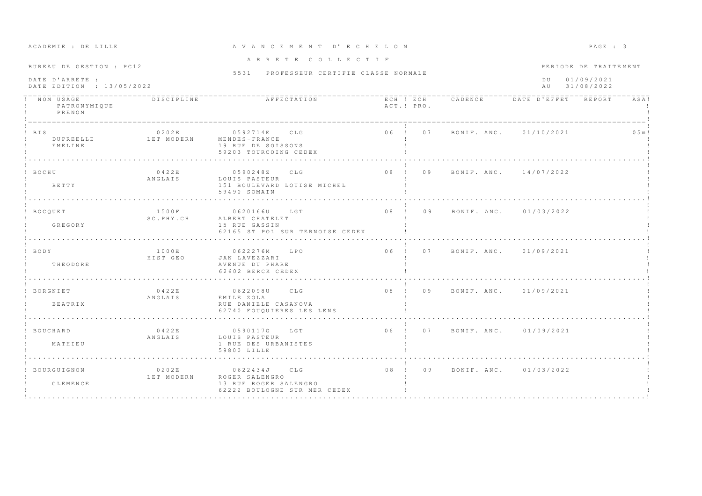| ACADEMIE : DE LILLE                                                      |                         | A V A N C E M E N T D' E C H E L O N                                                    |                 |    |                                |                     | PAGE : 3                                          |        |  |
|--------------------------------------------------------------------------|-------------------------|-----------------------------------------------------------------------------------------|-----------------|----|--------------------------------|---------------------|---------------------------------------------------|--------|--|
| BUREAU DE GESTION : PC12<br>DATE D'ARRETE :<br>DATE EDITION : 13/05/2022 |                         | ARRETE COLLECTIF<br>5531 PROFESSEUR CERTIFIE CLASSE NORMALE                             |                 |    |                                | D U<br>A U          | PERIODE DE TRAITEMENT<br>01/09/2021<br>31/08/2022 |        |  |
| NOM USAGE<br>PATRONYMIQUE<br>PRENOM                                      | <b>DISCIPLINE</b>       | AFFECTATION                                                                             | ACT.! PRO.      |    | ECH ! ECH CADENCE              | DATE D'EFFET REPORT |                                                   | ASA!   |  |
| $!$ BIS<br>DUPREELLE<br>EMELINE                                          | 0202E<br>LET MODERN     | 0592714E CLG<br>MENDES - FRANCE<br>19 RUE DE SOISSONS<br>59203 TOURCOING CEDEX          | 06 ! 07         |    | BONIF, ANC. 01/10/2021         |                     |                                                   | 0.5 m! |  |
| ! BOCHU<br>BETTY                                                         | 0422E<br>ANGLAIS        | 0590248Z CLG<br>LOUIS PASTEUR<br>151 BOULEVARD LOUISE MICHEL<br>59490 SOMAIN            | 08 <sub>1</sub> | 09 | BONIF. ANC. 14/07/2022         |                     |                                                   |        |  |
| ! BOCQUET<br><b>GREGORY</b>                                              | 1500F<br>SC.PHY.CH      | 0620166U LGT<br>ALBERT CHATELET<br>15 RUE GASSIN<br>62165 ST POL SUR TERNOISE CEDEX     | 08 <sub>1</sub> | 09 | BONIF, ANC. 01/03/2022         |                     |                                                   |        |  |
| ! BODY<br>THEODORE                                                       | 1000E<br>HIST GEO       | 0622276M LPO<br>JAN LAVEZZARI<br>AVENUE DU PHARE<br>62602 BERCK CEDEX                   |                 |    | 06 ! 07 BONIF. ANC. 01/09/2021 |                     |                                                   |        |  |
| BORGNIET<br>BEATRIX                                                      | 0422E<br>ANGLAIS        | 0622098U CLG<br>EMILE ZOLA<br>RUE DANIELE CASANOVA<br>62740 FOUQUIERES LES LENS         |                 |    | 08 ! 09 BONIF. ANC. 01/09/2021 |                     |                                                   |        |  |
| ! BOUCHARD<br>MATHIEU                                                    | 0422E<br>ANGLAIS        | 0590117G LGT<br>LOUIS PASTEUR<br>1 RUE DES URBANISTES<br>59800 LILLE                    |                 |    | 06 ! 07 BONIF. ANC. 01/09/2021 |                     |                                                   |        |  |
| BOURGUIGNON<br>CLEMENCE                                                  | 0 2 0 2 E<br>LET MODERN | 0622434J CLG<br>ROGER SALENGRO<br>13 RUE ROGER SALENGRO<br>62222 BOULOGNE SUR MER CEDEX | $08$ ! 09       |    | BONIF, ANC. 01/03/2022         |                     |                                                   |        |  |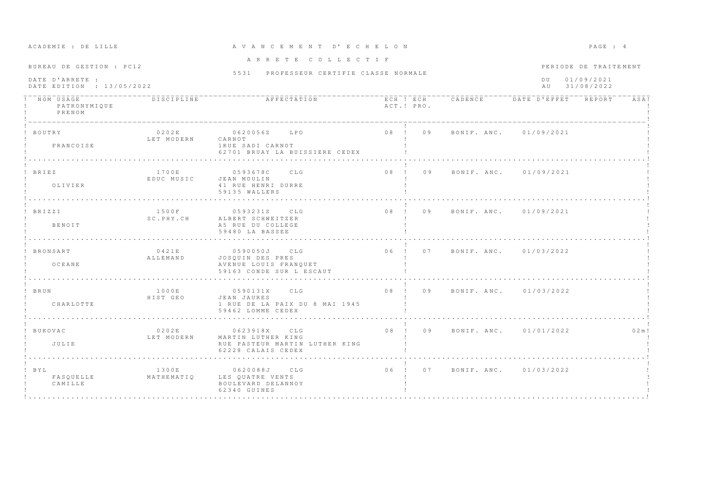| ACADEMIE : DE LILLE                                                      |                                 | AVANCEMENT D'ECHELON                                                                       |            |                                |                                                            | PAGE : 4 |  |
|--------------------------------------------------------------------------|---------------------------------|--------------------------------------------------------------------------------------------|------------|--------------------------------|------------------------------------------------------------|----------|--|
| BUREAU DE GESTION : PC12<br>DATE D'ARRETE :<br>DATE EDITION : 13/05/2022 |                                 | ARRETE COLLECTIF<br>5531 PROFESSEUR CERTIFIE CLASSE NORMALE                                |            |                                | PERIODE DE TRAITEMENT<br>01/09/2021<br>DU<br>AU 31/08/2022 |          |  |
| ! NOM USAGE<br>PATRONYMIQUE<br>PRENOM                                    | <b>DISCIPLINE</b>               |                                                                                            | ACT.! PRO. |                                |                                                            | ASA!     |  |
| ! BOUTRY<br>FRANCOISE                                                    | 0202E<br>LET MODERN CARNOT      | 0620056Z LPO<br>1 RUE SADI CARNOT<br>62701 BRUAY LA BUISSIERE CEDEX                        |            | 08 ! 09 BONIF. ANC. 01/09/2021 |                                                            |          |  |
| ! BRIEZ<br>OLIVIER                                                       | 1700E<br>EDUC MUSIC JEAN MOULIN | 0593678C CLG<br>41 RUE HENRI DURRE<br>59135 WALLERS                                        | 08 ! 09    | BONIF, ANC, 01/09/2021         |                                                            |          |  |
| ! BRIZZI<br><b>BENOTT</b>                                                | 1500F<br>SC.PHY.CH              | 0593231S CLG<br>ALBERT SCHWEITZER<br>A5 RUE DU COLLEGE<br>59480 LA BASSEE                  |            | 08 ! 09 BONIF ANC. 01/09/2021  |                                                            |          |  |
| ! BRONSART<br>OCEANE                                                     | 0421E<br>ALLEMAND               | 0590050J CLG<br>JOSQUIN DES PRES<br>AVENUE LOUIS FRANQUET<br>59163 CONDE SUR L ESCAUT      |            | 06 ! 07 BONIF. ANC. 01/03/2022 |                                                            |          |  |
| ! BRUN<br>CHARLOTTE                                                      | 1000E<br>HIST GEO               | 0590131X CLG<br>JEAN JAURES<br>1 RUE DE LA PAIX DU 8 MAI 1945<br>59462 LOMME CEDEX         |            | 08 ! 09 BONIF. ANC. 01/03/2022 |                                                            |          |  |
| ! BUKOVAC<br>JULIE                                                       | 0202E<br>LET MODERN             | 0623918X CLG<br>MARTIN LUTHER KING<br>RUE PASTEUR MARTIN LUTHER KING<br>62228 CALAIS CEDEX |            | 08 ! 09 BONIF. ANC. 01/01/2022 |                                                            | 0.2 m!   |  |
| $!$ BYL<br>FASOUELLE<br>CAMILLE                                          | 1300E<br>MATHEMATIQ             | 0620088J CLG<br>LES OUATRE VENTS<br>BOULEVARD DELANNOY<br>62340 GUINES                     |            | 06 ! 07 BONIF, ANC. 01/03/2022 |                                                            |          |  |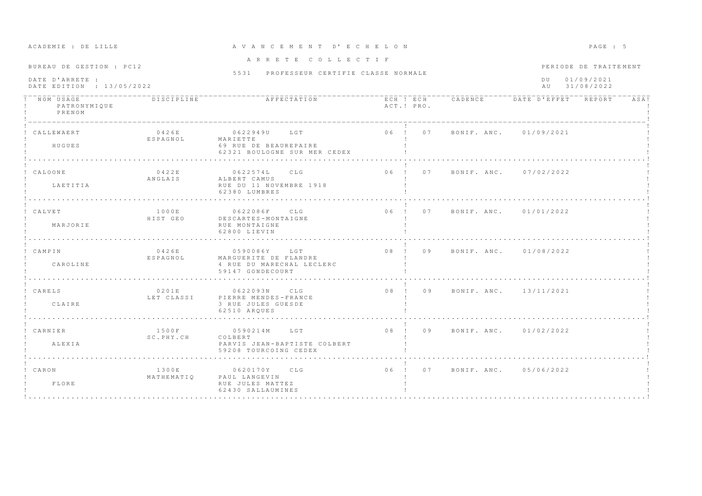| ACADEMIE . DE EILEE                          |                            |                                                                                        |            |  |                                |  | $\cdots$              |      |
|----------------------------------------------|----------------------------|----------------------------------------------------------------------------------------|------------|--|--------------------------------|--|-----------------------|------|
| BUREAU DE GESTION : PC12                     |                            | ARRETE COLLECTIF                                                                       |            |  |                                |  | PERIODE DE TRAITEMENT |      |
| DATE D'ARRETE :<br>DATE EDITION : 13/05/2022 |                            | 5531 PROFESSEUR CERTIFIE CLASSE NORMALE                                                |            |  | DU 01/09/2021<br>AU 31/08/2022 |  |                       |      |
| ! NOM USAGE<br>PATRONYMIQUE<br>PRENOM        | <b>DISCIPLINE</b>          |                                                                                        | ACT.! PRO. |  |                                |  |                       | ASA! |
| CALLEWAERT<br>HUGUES                         | 0426E<br>ESPAGNOL MARIETTE | 0622949U LGT<br>69 RUE DE BEAUREPAIRE<br>62321 BOULOGNE SUR MER CEDEX                  |            |  | 06 ! 07 BONIF. ANC. 01/09/2021 |  |                       |      |
| ! CALOONE<br>LAETITIA                        | 0422E<br>ANGLAIS           | 0622574L CLG<br>ALBERT CAMUS<br>RUE DU 11 NOVEMBRE 1918<br>62380 LUMBRES               |            |  | 06 ! 07 BONIF. ANC. 07/02/2022 |  |                       |      |
| ! CALVET<br>MARJORIE                         | 1000E<br>HIST GEO          | 0622086F CLG<br>DESCARTES-MONTAIGNE<br>RUE MONTAIGNE<br>62800 LIEVIN                   |            |  | 06 ! 07 BONIF ANC 01/01/2022   |  |                       |      |
| ! CAMPIN<br>CAROLINE                         | 0426E<br>ESPAGNOL          | 0590086Y LGT<br>MARGUERITE DE FLANDRE<br>4 RUE DU MARECHAL LECLERC<br>59147 GONDECOURT |            |  | 08 ! 09 BONIF. ANC. 01/08/2022 |  |                       |      |
| ! CARELS<br>CLAIRE                           | 0201E<br>LET CLASSI        | 0622093N CLG<br>PIERRE MENDES-FRANCE<br>3 RUE JULES GUESDE<br>62510 AROUES             |            |  | 08 ! 09 BONIF. ANC. 13/11/2021 |  |                       |      |
| ! CARNIER<br>ALEXIA                          | 1500F<br>SC.PHY.CH         | 0590214M LGT<br>COLBERT<br>PARVIS JEAN-BAPTISTE COLBERT<br>59208 TOURCOING CEDEX       |            |  | 08 ! 09 BONIF. ANC. 01/02/2022 |  |                       |      |
| ! CARON<br>FLORE                             | 1300E<br>MATHEMATIO        | 0620170Y CLG<br>PAUL LANGEVIN<br>RUE JULES MATTEZ<br>62430 SALLAUMINES                 |            |  | 06 ! 07 BONIF. ANC. 05/06/2022 |  |                       |      |

# A CA DROMIR : DROITILIR COM A V AN C E M E N T D'E C H E LON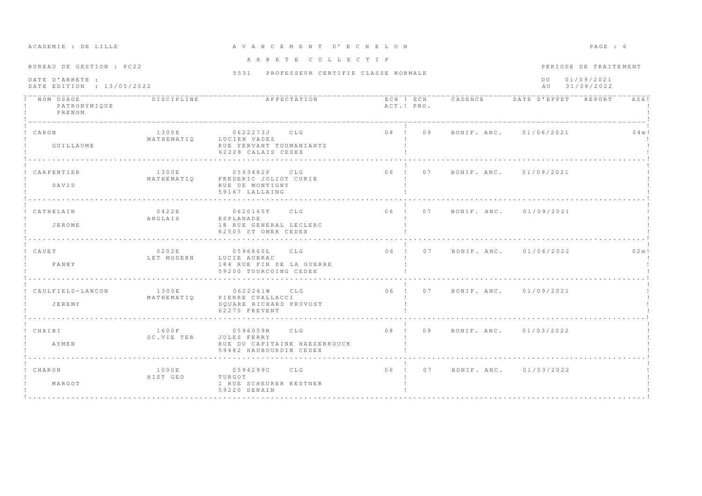| ACADEMIE : DE LILLE                                                      |                     | A V A N C E M E N T D' E C H E L O N                                                  |                                |                                |                                                                 | PAGE : 6  |  |
|--------------------------------------------------------------------------|---------------------|---------------------------------------------------------------------------------------|--------------------------------|--------------------------------|-----------------------------------------------------------------|-----------|--|
| BUREAU DE GESTION : PC22<br>DATE D'ARRETE :<br>DATE EDITION : 13/05/2022 |                     | ARRETE COLLECTIF<br>5531 PROFESSEUR CERTIFIE CLASSE NORMALE                           |                                |                                | PERIODE DE TRAITEMENT<br>01/09/2021<br>D U<br>31/08/2022<br>A U |           |  |
| NOM USAGE<br>PATRONYMIQUE<br>PRENOM                                      | DISCIPLINE          | AFFECTATION                                                                           | ACT.! PRO.                     | ECH ! ECH CADENCE              | DATE D'EFFET REPORT                                             | ASA!      |  |
| ! CARON<br>GUILLAUME                                                     | 1300E<br>MATHEMATIO | 0622273J CLG<br>LUCIEN VADEZ<br>RUE YERVANT TOUMANIANTZ<br>62228 CALAIS CEDEX         | 08 ! 09                        |                                | BONIF, ANC. 01/06/2021                                          | $0.4$ m ! |  |
| CARPENTIER<br>DAVID                                                      | 1300E<br>MATHEMATIQ | 0593482P<br>C.T.G<br>FREDERIC JOLIOT CURIE<br>RUE DE MONTIGNY<br>59167 LALLAING       | $06 \quad 1$<br>0.7            |                                | BONIF, ANC. 01/09/2021                                          |           |  |
| CATHELAIN<br>JEROME                                                      | 0422E<br>ANGLAIS    | 0620165T<br>CLG<br>ESPLANADE<br>18 RUE GENERAL LECLERC<br>62505 ST OMER CEDEX         | 06 ! 07                        |                                | BONIF, ANC. 01/09/2021                                          |           |  |
| CAUET<br>FANNY                                                           | 0202E<br>LET MODERN | 0596860L<br>CLG<br>LUCIE AUBRAC<br>184 RUE FIN DE LA GUERRE<br>59200 TOURCOING CEDEX  |                                | 06 ! 07 BONIF. ANC. 01/06/2022 |                                                                 | 0.2 m!    |  |
| CAULFIELD-LANCON<br>JEREMY                                               | 1300E<br>MATHEMATIO | 0622261W CLG<br>PIERRE CUALLACCI<br>SQUARE RICHARD PRUVOST<br>62270 FREVENT           | 06 ! 07 BONIF. ANC. 01/09/2021 |                                |                                                                 |           |  |
| ! CHAIBI<br>AYMEN                                                        | 1600F<br>SC.VIE TER | 0596059R CLG<br>JULES FERRY<br>RUE DU CAPITAINE HAEZEBROUCK<br>59482 HAUBOURDIN CEDEX | 08 ! 09 BONIF. ANC. 01/03/2022 |                                |                                                                 |           |  |
| ! CHARON<br>MARGOT                                                       | 1000E<br>HIST GEO   | 0594299C CLG<br>TURGOT<br>1 RUE SCHEURER KESTNER<br>59220 DENAIN                      | 06 ! 07                        |                                | BONIF. ANC. 01/03/2022                                          |           |  |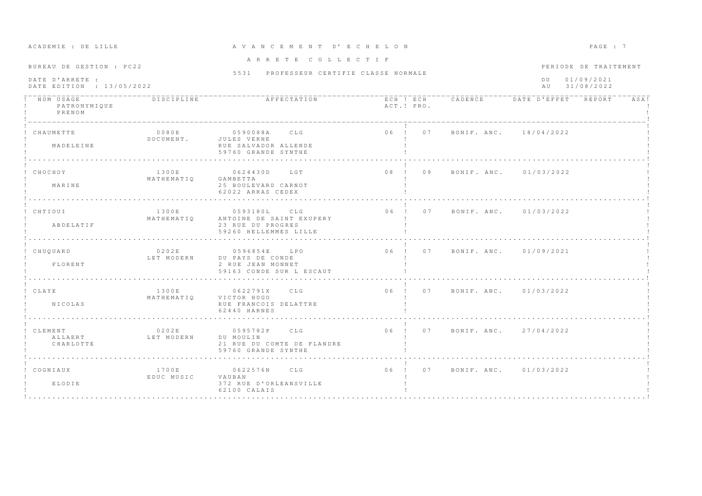| ACADEMIE : DE LILLE                                                      |                     | A V A N C E M E N T D' E C H E L O N                                                      |            |                                |                                                                   | PAGE : 7 |  |
|--------------------------------------------------------------------------|---------------------|-------------------------------------------------------------------------------------------|------------|--------------------------------|-------------------------------------------------------------------|----------|--|
| BUREAU DE GESTION : PC22<br>DATE D'ARRETE :<br>DATE EDITION : 13/05/2022 |                     | ARRETE COLLECTIF<br>5531 PROFESSEUR CERTIFIE CLASSE NORMALE                               |            |                                | PERIODE DE TRAITEMENT<br>01/09/2021<br>$D$ U<br>31/08/2022<br>A U |          |  |
| NOM USAGE<br>PATRONYMIQUE<br>PRENOM                                      | <b>DISCIPLINE</b>   | AFFECTATION                                                                               | ACT.! PRO. |                                | ECH ! ECH CADENCE DATE D'EFFET REPORT                             | ASA!     |  |
| CHAUMETTE<br>MADELEINE                                                   | 0080E<br>DOCUMENT.  | 0590088A CLG<br>JULES VERNE<br>RUE SALVADOR ALLENDE<br>59760 GRANDE SYNTHE                |            | 06 ! 07 BONIF. ANC. 18/04/2022 |                                                                   |          |  |
| CHOCHOY<br>MARINE                                                        | 1300E<br>MATHEMATIO | 0624430D LGT<br>GAMBETTA<br>25 BOULEVARD CARNOT<br>62022 ARRAS CEDEX<br>.                 | 08 ! 09    |                                | BONIF. ANC. 01/03/2022                                            |          |  |
| ! CHTIOUI<br>ABDELATIF                                                   | 1300E<br>ΜΑΤΗΕΜΑΤΙΟ | 0593180L<br>CLG<br>ANTOINE DE SAINT EXUPERY<br>23 RUE DU PROGRES<br>59260 HELLEMMES LILLE |            | 06 ! 07 BONIF ANC. 01/03/2022  |                                                                   |          |  |
| ! CHUOUARD<br>FLORENT                                                    | 0202E<br>LET MODERN | 0596854E LPO<br>DU PAYS DE CONDE<br>2 RUE JEAN MONNET<br>59163 CONDE SUR L ESCAUT         |            | 06 ! 07 BONIF. ANC. 01/09/2021 |                                                                   |          |  |
| ! CLAYE<br><b>NICOLAS</b>                                                | 1300E<br>MATHEMATIO | 0622791X<br>CLG <sub>1</sub><br>VICTOR HUGO<br>RUE FRANCOIS DELATTRE<br>62440 HARNES      |            | 06 ! 07 BONIF, ANC, 01/03/2022 |                                                                   |          |  |
| CLEMENT<br>ALLAERT<br>CHARLOTTE                                          | 0202E<br>LET MODERN | 0595782P CLG<br>DU MOULIN<br>21 RUE DU COMTE DE FLANDRE<br>59760 GRANDE SYNTHE            |            | 06 ! 07 BONIF. ANC. 27/04/2022 |                                                                   |          |  |
| ! COGNIAUX<br>ELODIE                                                     | 1700E<br>EDUC MUSIC | 0622576N CLG<br>VAUBAN<br>372 RUE D'ORLEANSVILLE<br>62100 CALAIS                          |            | 06 ! 07 BONIF, ANC, 01/03/2022 |                                                                   |          |  |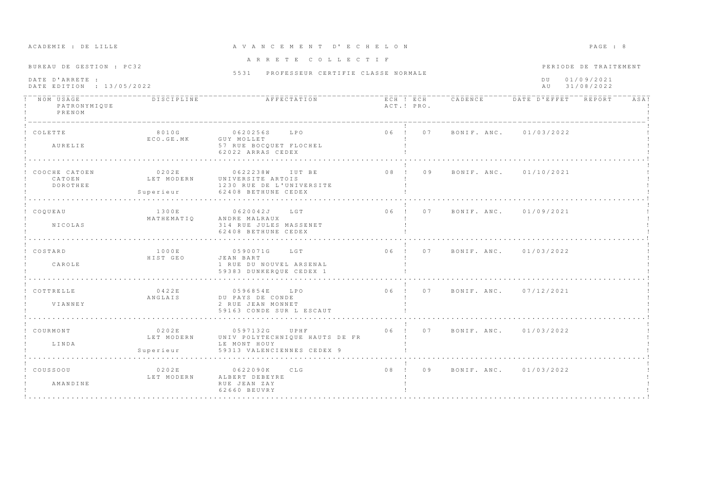| ACADEMIE . DE BIBB                           |                               | AVANCBRINI                                                                                                            |  |            |                                |  | rnom. o               |      |
|----------------------------------------------|-------------------------------|-----------------------------------------------------------------------------------------------------------------------|--|------------|--------------------------------|--|-----------------------|------|
| BUREAU DE GESTION : PC32                     |                               | ARRETE COLLECTIF                                                                                                      |  |            |                                |  | PERIODE DE TRAITEMENT |      |
| DATE D'ARRETE :<br>DATE EDITION : 13/05/2022 |                               | 5531 PROFESSEUR CERTIFIE CLASSE NORMALE                                                                               |  |            | DU 01/09/2021<br>AU 31/08/2022 |  |                       |      |
| PATRONYMIQUE<br>PRENOM                       | DISCIPLINE                    |                                                                                                                       |  | ACT.! PRO. |                                |  |                       | ASA! |
| ! COLETTE<br>AURELIE                         | 8010G<br>ECO.GE.MK GUY MOLLET | 0620256S LPO<br>57 RUE BOCOUET FLOCHEL<br>62022 ARRAS CEDEX                                                           |  |            | 06 ! 07 BONIF. ANC. 01/03/2022 |  |                       |      |
| CATOEN<br><b>DOROTHEE</b>                    |                               | LET MODERN UNIVERSITE ARTOIS<br>1230 RUE DE L'UNIVERSITE<br>Superieur 62408 BETHUNE CEDEX                             |  |            |                                |  |                       |      |
| ! COOUEAU<br><b>NICOLAS</b>                  | MATHEMATIO                    | 1300E 0620042J LGT<br>ANDRE MALRAUX<br>314 RUE JULES MASSENET<br>62408 BETHUNE CEDEX                                  |  |            | 06 ! 07 BONIF. ANC. 01/09/2021 |  |                       |      |
| ! COSTARD<br>CAROLE                          | 1000E<br>HIST GEO             | 0590071G LGT<br>JEAN BART<br>1 RUE DU NOUVEL ARSENAL<br>59383 DUNKEROUE CEDEX 1                                       |  |            | 06 ! 07 BONIF ANC. 01/03/2022  |  |                       |      |
| ! COTTRELLE<br>VIANNEY                       | 0422E<br>ANGLAIS              | 0596854E LPO<br>DU PAYS DE CONDE<br>2 RUE JEAN MONNET<br>59163 CONDE SUR L ESCAUT                                     |  |            | 06 ! 07 BONIF. ANC. 07/12/2021 |  |                       |      |
| ! COURMONT<br>T. TNDA                        | 0202E                         | 0597132G<br>UPHF<br>LET MODERN UNIV POLYTECHNIQUE HAUTS DE FR<br>LE MONT HOUY<br>Superieur 59313 VALENCIENNES CEDEX 9 |  |            | 06 ! 07 BONIF. ANC. 01/03/2022 |  |                       |      |
| ! COUSSOOU<br>AMANDINE                       | 0 2 0 2 E                     | 0622090K CLG<br>LET MODERN ALBERT DEBEYRE<br>RUE JEAN ZAY<br>62660 BEUVRY                                             |  |            | 08 ! 09 BONIF. ANC. 01/03/2022 |  |                       |      |

### A CA D E LITTE DACE : DE LITTE A VAN C E M E N T D ' E C H E L O N P A G E : 9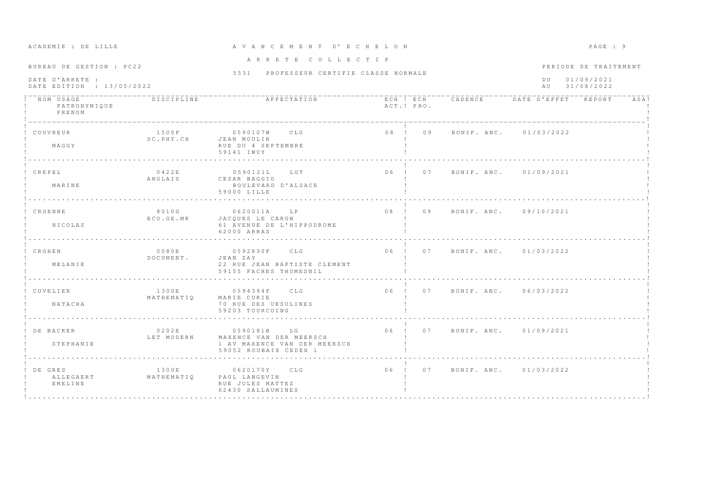| BUREAU DE GESTION : PC22                     |                      | ARRETE COLLECTIF                                                                                |            |                                       |                                       | PERIODE DE TRAITEMENT |      |
|----------------------------------------------|----------------------|-------------------------------------------------------------------------------------------------|------------|---------------------------------------|---------------------------------------|-----------------------|------|
| DATE D'ARRETE :<br>DATE EDITION : 13/05/2022 |                      | 5531 PROFESSEUR CERTIFIE CLASSE NORMALE                                                         |            |                                       | 01/09/2021<br>$D$ II<br>AU 31/08/2022 |                       |      |
| NOM USAGE<br>PATRONYMIQUE<br>PRENOM          | DISCIPLINE           | AFFECTATION                                                                                     | ACT.! PRO. | ECH ! ECH CADENCE DATE D'EFFET REPORT |                                       |                       | ASA! |
| COUVREUR<br>MAGGY                            | 1500F<br>SC. PHY. CH | 0590107W CLG<br>JEAN MOULIN<br>RUE DU 4 SEPTEMBRE<br>59141 IWUY                                 |            | 08 ! 09 BONIF. ANC. 01/03/2022        |                                       |                       |      |
| CREPEL<br>MARINE                             | 0422E<br>ANGLAIS     | LGT<br>0590121L<br>CESAR BAGGIO<br>BOULEVARD D'ALSACE<br>59000 LILLE                            |            | 06 ! 07 BONIF, ANC, 01/09/2021        |                                       |                       |      |
| ! CROENNE<br>NICOLAS                         | 8010G<br>ECO.GE.MK   | 0620011A LP<br>JACOUES LE CARON<br>61 AVENUE DE L'HIPPODROME<br>62000 ARRAS                     |            | 08 ! 09 BONIF ANC 09/10/2021          |                                       |                       |      |
| CROHEN<br>MELANIE                            | 0080E<br>DOCUMENT.   | 0592830F CLG<br>JEAN ZAY<br>22 RUE JEAN BAPTISTE CLEMENT<br>59155 FACHES THUMESNIL              |            | 06 ! 07 BONIF ANC 01/03/2022          |                                       |                       |      |
| CUVELIER<br>NATACHA                          | 1300E<br>MATHEMATIO  | 0594394F CLG<br>MARIE CURIE<br>70 RUE DES URSULINES<br>59203 TOURCOING                          |            | 06 ! 07 BONIF, ANC. 06/03/2022        |                                       |                       |      |
| DE BACKER<br>STEPHANTE                       | 0202E<br>LET MODERN  | 0590181B LG<br>MAXENCE VAN DER MEERSCH<br>1 AV MAXENCE VAN DER MEERSCH<br>59052 ROUBAIX CEDEX 1 |            | 06 ! 07 BONIF. ANC. 01/09/2021        |                                       |                       |      |
| DE GRES<br>ALLEGAERT<br>EMELINE              | 1300E<br>MATHEMATIO  | 0620170Y CLG<br>PAUL LANGEVIN<br>RUE JULES MATTEZ<br>62430 SALLAUMINES                          |            | 06 ! 07 BONIF ANC. 01/03/2022         |                                       |                       |      |

A CADEMIE : DE LILLE ET A V A N C E M E N T D'E C H E L O N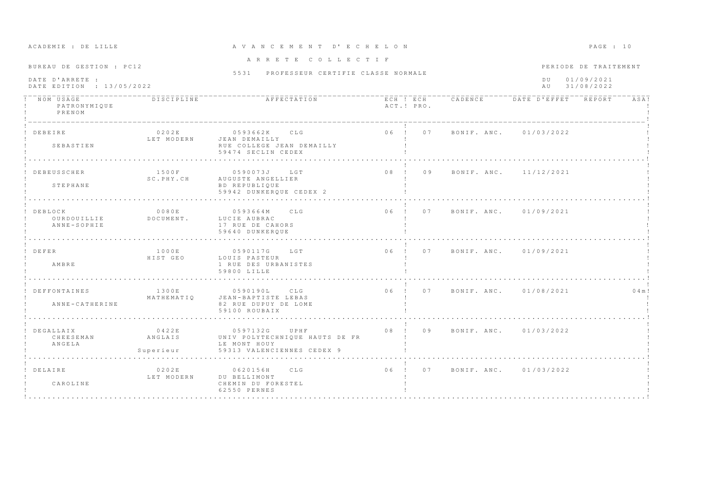| ACADEMIE : DE LILLE<br>A V A N C E M E N T D' E C H E L O N              |                               | PAGE : 10                                                                                        |                 |            |                                |                                                                 |  |           |
|--------------------------------------------------------------------------|-------------------------------|--------------------------------------------------------------------------------------------------|-----------------|------------|--------------------------------|-----------------------------------------------------------------|--|-----------|
| BUREAU DE GESTION : PC12<br>DATE D'ARRETE :<br>DATE EDITION : 13/05/2022 |                               | ARRETE COLLECTIF<br>5531 PROFESSEUR CERTIFIE CLASSE NORMALE                                      |                 |            |                                | PERIODE DE TRAITEMENT<br>01/09/2021<br>D U<br>31/08/2022<br>a u |  |           |
| ! NOM USAGE<br>PATRONYMIQUE<br>PRENOM                                    | <b>DISCIPLINE</b>             | AFFECTATION                                                                                      |                 | ACT.! PRO. | ECH ! ECH CADENCE              | DATE D'EFFET REPORT                                             |  | ASA!      |
| DEBEIRE<br>SEBASTIEN                                                     | 0202E<br>LET MODERN           | 0593662K CLG<br>JEAN DEMAILLY<br>RUE COLLEGE JEAN DEMAILLY<br>59474 SECLIN CEDEX                 |                 | 06 ! 07    |                                | BONIF, ANC. 01/03/2022                                          |  |           |
| DEBEUSSCHER<br>STEPHANE                                                  | 1500F<br>SC.PHY.CH            | 0590073J<br>L G T<br>AUGUSTE ANGELLIER<br>BD REPUBLIQUE<br>59942 DUNKEROUE CEDEX 2<br>.          | 08 ! 09         |            |                                | BONIF, ANC. 11/12/2021                                          |  |           |
| DEBLOCK<br>OURDOUILLIE<br>ANNE-SOPHIE                                    | 0080E<br>DOCUMENT.            | 0593664M<br>CLG<br>LUCIE AUBRAC<br>17 RUE DE CAHORS<br>59640 DUNKEROUE                           |                 | 06 ! 07    |                                | BONIF, ANC. 01/09/2021                                          |  |           |
| ! DEFER<br>AMBRE                                                         | 1000E<br>HIST GEO             | LGT<br>0590117G<br>LOUIS PASTEUR<br>1 RUE DES URBANISTES<br>59800 LILLE                          |                 |            | 06 ! 07 BONIF ANC 01/09/2021   |                                                                 |  |           |
| ! DEFFONTAINES<br>ANNE-CATHERINE                                         | 1300E<br>MATHEMATIO           | 0590190L<br>C.L.G<br>JEAN-BAPTISTE LEBAS<br>82 RUE DUPUY DE LOME<br>59100 ROUBAIX                |                 |            | 06 ! 07 BONIF. ANC. 01/08/2021 |                                                                 |  | $0.4$ m ! |
| DEGALLAIX<br>CHEESEMAN<br>ANGELA                                         | 0422E<br>ANGLAIS<br>Superieur | 0597132G<br>UPHF<br>UNIV POLYTECHNIQUE HAUTS DE FR<br>LE MONT HOUY<br>59313 VALENCIENNES CEDEX 9 | 08 <sub>1</sub> | 09         | BONIF. ANC. 01/03/2022         |                                                                 |  |           |
| ! DELAIRE<br>CAROLINE                                                    | 0202E<br>LET MODERN           | CLG<br>0620156H<br>DU BELLIMONT<br>CHEMIN DU FORESTEL<br>62550 PERNES                            |                 | 06 ! 07    |                                | BONIF. ANC. 01/03/2022                                          |  |           |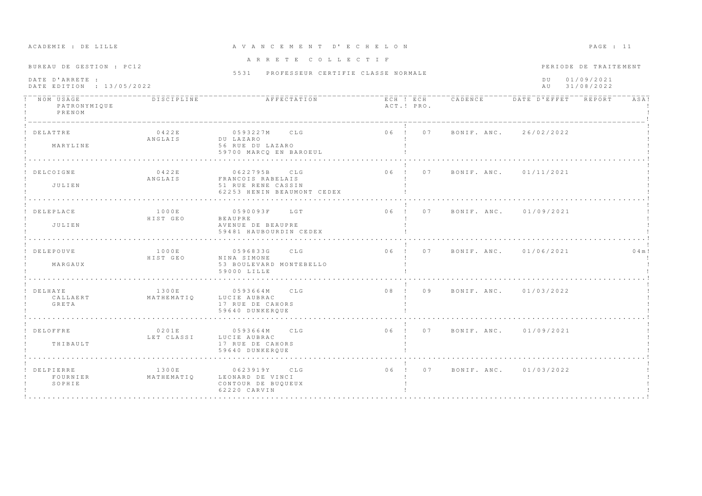| ACADEMIE : DE LILLE<br>A V A N C E M E N T D' E C H E L O N<br>ARRETE COLLECTIF<br>BUREAU DE GESTION : PC12<br>5531 PROFESSEUR CERTIFIE CLASSE NORMALE<br>DATE D'ARRETE :<br>DATE EDITION : 13/05/2022 |                     | PAGE : 11                                                                             |                                |  |                                                                 |        |
|--------------------------------------------------------------------------------------------------------------------------------------------------------------------------------------------------------|---------------------|---------------------------------------------------------------------------------------|--------------------------------|--|-----------------------------------------------------------------|--------|
|                                                                                                                                                                                                        |                     |                                                                                       |                                |  | PERIODE DE TRAITEMENT<br>D U<br>01/09/2021<br>31/08/2022<br>a u |        |
| NOM USAGE<br>PATRONYMIQUE<br>PRENOM                                                                                                                                                                    | DISCIPLINE          | AFFECTATION                                                                           | ACT.! PRO.                     |  | ECH ! ECH CADENCE DATE D'EFFET REPORT                           | ASA!   |
| DELATTRE<br>MARYLINE                                                                                                                                                                                   | 0422E<br>ANGLAIS    | 0593227M CLG<br>DU LAZARO<br>56 RUE DU LAZARO<br>59700 MARCO EN BAROEUL<br>.          | 06 ! 07 BONIF. ANC. 26/02/2022 |  |                                                                 |        |
| DELCOIGNE<br>JULIEN                                                                                                                                                                                    | 0422E<br>ANGLAIS    | 0622795B CLG<br>FRANCOIS RABELAIS<br>51 RUE RENE CASSIN<br>62253 HENIN BEAUMONT CEDEX | $06$ !<br>07                   |  | BONIF. ANC. 01/11/2021                                          |        |
| DELEPLACE<br>JULIEN                                                                                                                                                                                    | 1000E<br>HIST GEO   | 0590093F LGT<br>BEAUPRE<br>AVENUE DE BEAUPRE<br>59481 HAUBOURDIN CEDEX                | 06 ! 07 BONIF, ANC. 01/09/2021 |  |                                                                 |        |
| DELEPOUVE<br>MARGAUX                                                                                                                                                                                   | 1000E<br>HIST GEO   | 0596833G<br>CLG<br>NINA SIMONE<br>53 BOULEVARD MONTEBELLO<br>59000 LILLE              |                                |  | 06 ! 07 BONIF. ANC. 01/06/2021                                  | 0.4 m! |
| DELHAYE<br>CALLAERT<br>GRETA                                                                                                                                                                           | 1300E<br>MATHEMATIQ | 0593664M CLG<br>LUCIE AUBRAC<br>17 RUE DE CAHORS<br>59640 DUNKEROUE                   | 08 ! 09 BONIF. ANC. 01/03/2022 |  |                                                                 |        |
| ! DELOFFRE<br>THIBAULT                                                                                                                                                                                 | 0201E<br>LET CLASSI | 0593664M CLG<br>LUCIE AUBRAC<br>17 RUE DE CAHORS<br>59640 DUNKEROUE                   | 06 ! 07 BONIF ANC 01/09/2021   |  |                                                                 |        |
| DELPIERRE<br>FOURNIER<br>SOPHIE                                                                                                                                                                        | 1300E<br>MATHEMATIO | 0623919Y CLG<br>LEONARD DE VINCI<br>CONTOUR DE BUOUEUX<br>62220 CARVIN                | 07<br>$06$ !                   |  | BONIF. ANC. 01/03/2022                                          |        |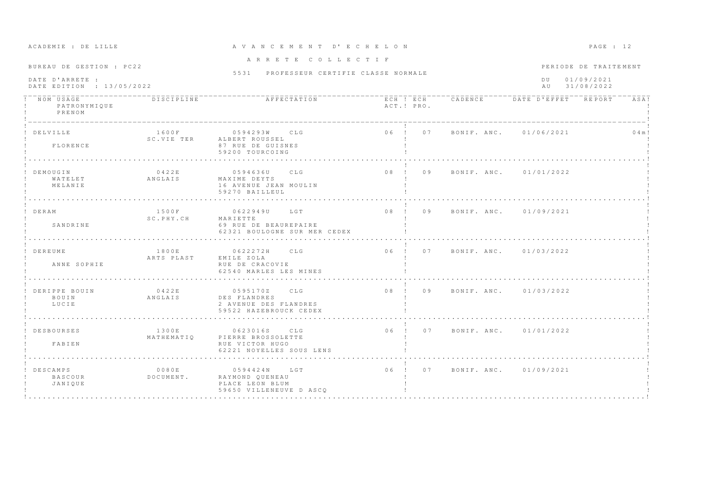| ACADEMIE : DE LILLE                                                      |                     | A V A N C E M E N T D' E C H E L O N                                                 |                                                     |                                |                                                                 | PAGE : 12 |  |
|--------------------------------------------------------------------------|---------------------|--------------------------------------------------------------------------------------|-----------------------------------------------------|--------------------------------|-----------------------------------------------------------------|-----------|--|
| BUREAU DE GESTION : PC22<br>DATE D'ARRETE :<br>DATE EDITION : 13/05/2022 |                     | ARRETE COLLECTIF<br>5531 PROFESSEUR CERTIFIE CLASSE NORMALE                          |                                                     |                                | PERIODE DE TRAITEMENT<br>01/09/2021<br>D U<br>31/08/2022<br>A U |           |  |
| -----------<br>NOM USAGE<br>PATRONYMIQUE<br>PRENOM                       | DISCIPIINE          | AFFECTATION                                                                          | ECH ! ECH CADENCE DATE D'EFFET REPORT<br>ACT.! PRO. |                                |                                                                 | ASA!      |  |
| DELVILLE<br>FLORENCE                                                     | 1600F<br>SC.VIE TER | 0594293W CLG<br>ALBERT ROUSSEL<br>87 RUE DE GUISNES<br>59200 TOURCOING               | 06 ! 07 BONIF, ANC. 01/06/2021                      |                                |                                                                 | 0.4 m!    |  |
| <b>DEMOUGIN</b><br>WATELET<br>MELANIE                                    | 0422E<br>ANGLAIS    | C.L.G<br>0594636U<br>MAXIME DEYTS<br>16 AVENUE JEAN MOULIN<br>59270 BAILLEUL         | $0.8$ $1$<br>0.9                                    |                                | BONIF, ANC. 01/01/2022                                          |           |  |
| ! DERAM<br>SANDRINE                                                      | 1500F<br>SC.PHY.CH  | 0622949U<br>LGT<br>MARIETTE<br>69 RUE DE BEAUREPAIRE<br>62321 BOULOGNE SUR MER CEDEX | 08 ! 09                                             |                                | BONIF, ANC. 01/09/2021                                          |           |  |
| DEREUME<br>ANNE SOPHIE                                                   | 1800E<br>ARTS PLAST | 0622272H CLG<br>EMILE ZOLA<br>RUE DE CRACOVIE<br>62540 MARLES LES MINES              |                                                     | 06 ! 07 BONIF. ANC. 01/03/2022 |                                                                 |           |  |
| DERIPPE BOUIN<br>BOUIN<br>LUCIE                                          | 0422E<br>ANGLAIS    | 0595170Z<br>C L G<br>DES FLANDRES<br>2 AVENUE DES FLANDRES<br>59522 HAZEBROUCK CEDEX |                                                     | 08 ! 09 BONIF. ANC. 01/03/2022 |                                                                 |           |  |
| <b>DESBOURSES</b><br>FABIEN                                              | 1300E<br>MATHEMATIQ | 0623016S CLG<br>PIERRE BROSSOLETTE<br>RUE VICTOR HUGO<br>62221 NOYELLES SOUS LENS    |                                                     | 06 ! 07 BONIF. ANC. 01/01/2022 |                                                                 |           |  |
| DESCAMPS<br>BASCOUR<br>JANIQUE                                           | 0080E<br>DOCUMENT.  | 0594424N LGT<br>RAYMOND QUENEAU<br>PLACE LEON BLUM<br>59650 VILLENEUVE D ASCO        | 06 ! 07                                             |                                | BONIF. ANC. 01/09/2021                                          |           |  |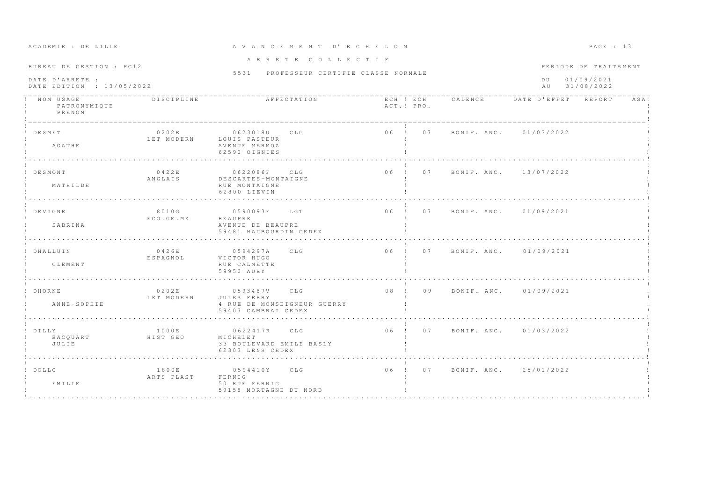| ACADEMIE : DE LILLE                                                                                                                     |                            |                                                                                   | A V A N C E M E N T D' E C H E L O N |                                                                |                                |  | PAGE : 13 |      |
|-----------------------------------------------------------------------------------------------------------------------------------------|----------------------------|-----------------------------------------------------------------------------------|--------------------------------------|----------------------------------------------------------------|--------------------------------|--|-----------|------|
| ARRETE COLLECTIF<br>BUREAU DE GESTION : PC12<br>5531 PROFESSEUR CERTIFIE CLASSE NORMALE<br>DATE D'ARRETE :<br>DATE EDITION : 13/05/2022 |                            |                                                                                   |                                      | PERIODE DE TRAITEMENT<br>01/09/2021<br>D U<br>31/08/2022<br>AU |                                |  |           |      |
| NOM USAGE<br>PATRONYMIQUE<br>PRENOM                                                                                                     | DISCIPLINE                 | AFFECTATION                                                                       |                                      | ACT.! PRO.                                                     |                                |  |           | ASA! |
| ! DESMET<br>AGATHE                                                                                                                      | 0202E<br>LET MODERN        | 0623018U CLG<br>LOUIS PASTEUR<br>AVENUE MERMOZ<br>62590 OIGNIES                   |                                      |                                                                | 06 ! 07 BONIF. ANC. 01/03/2022 |  |           |      |
| ! DESMONT<br>MATHILDE                                                                                                                   | 0422E<br>ANGLAIS           | 0622086F CLG<br>DESCARTES-MONTAIGNE<br>RUE MONTAIGNE<br>62800 LIEVIN              |                                      |                                                                | 06 ! 07 BONIF. ANC. 13/07/2022 |  |           |      |
| ! DEVIGNE<br>SABRINA                                                                                                                    | 8010G<br>ECO.GE.MK         | 0590093F LGT<br>BEAUPRE<br>AVENUE DE BEAUPRE<br>59481 HAUBOURDIN CEDEX            |                                      |                                                                | 06 ! 07 BONIF ANC. 01/09/2021  |  |           |      |
| ! DHALLUIN<br>CLEMENT                                                                                                                   | 0426E<br>ESPAGNOL          | CLG<br>0594297A<br>VICTOR HUGO<br>RUE CALMETTE<br>59950 AUBY                      |                                      |                                                                | 06 ! 07 BONIF. ANC. 01/09/2021 |  |           |      |
| ! DHORNE<br>ANNE-SOPHIE                                                                                                                 | 0202E<br>LET MODERN        | 0593487V CLG<br>JULES FERRY<br>4 RUE DE MONSEIGNEUR GUERRY<br>59407 CAMBRAI CEDEX |                                      |                                                                | 08 ! 09 BONIF. ANC. 01/09/2021 |  |           |      |
| ! DILLY<br>BACOUART<br>JULIE                                                                                                            | 1000E<br>HIST GEO          | 0622417R CLG<br>MICHELET<br>33 BOULEVARD EMILE BASLY<br>62303 LENS CEDEX          |                                      |                                                                | 06 ! 07 BONIF. ANC. 01/03/2022 |  |           |      |
| ! DOLLO<br>EMILIE                                                                                                                       | 1800E<br>ARTS PLAST FERNIG | 0594410Y CLG<br>50 RUE FERNIG<br>59158 MORTAGNE DU NORD                           |                                      |                                                                | 06 ! 07 BONIF. ANC. 25/01/2022 |  |           |      |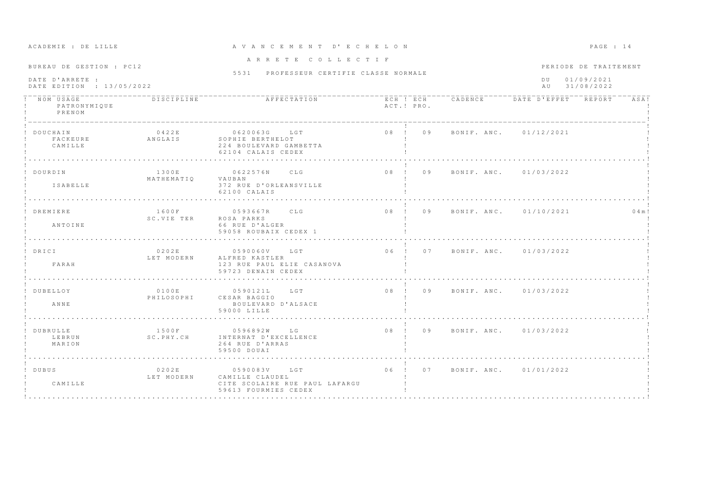| ACADEMIE : DE LILLE                                                      |                         | A V A N C E M E N T D' E C H E L O N                                                      |                 |    |                                       |                        | PAGE : 14                                         |        |
|--------------------------------------------------------------------------|-------------------------|-------------------------------------------------------------------------------------------|-----------------|----|---------------------------------------|------------------------|---------------------------------------------------|--------|
| BUREAU DE GESTION : PC12<br>DATE D'ARRETE :<br>DATE EDITION : 13/05/2022 |                         | ARRETE COLLECTIF<br>5531 PROFESSEUR CERTIFIE CLASSE NORMALE                               |                 |    |                                       | DU.<br>A U             | PERIODE DE TRAITEMENT<br>01/09/2021<br>31/08/2022 |        |
| ! NOM USAGE<br>PATRONYMIQUE<br>PRENOM                                    | DISCIPLINE              | AFFECTATION                                                                               | ACT.! PRO.      |    | ECH ! ECH CADENCE DATE D'EFFET REPORT |                        |                                                   | ASA!   |
| DOUCHAIN<br>FACKEURE<br>CAMILLE                                          | 0422E<br>ANGLAIS        | 0620063G LGT<br>SOPHIE BERTHELOT<br>224 BOULEVARD GAMBETTA<br>62104 CALAIS CEDEX          | 08 ! 09         |    | BONIF. ANC. 01/12/2021                |                        |                                                   |        |
| ! DOURDIN<br><b>ISABELLE</b>                                             | 1300E<br>MATHEMATIO     | 0622576N CLG<br>VAUBAN<br>372 RUE D'ORLEANSVILLE<br>62100 CALAIS                          | 08 <sub>1</sub> | 09 |                                       | BONIF, ANC. 01/03/2022 |                                                   |        |
| DREMIERE<br>ANTOINE                                                      | 1600F<br>SC.VIE TER     | 0593667R CLG<br>ROSA PARKS<br>66 RUE D'ALGER<br>59058 ROUBAIX CEDEX 1                     | 08 ! 09         |    |                                       | BONIF, ANC. 01/10/2021 |                                                   | 0.4 m! |
| ! DRICI<br>FARAH                                                         | 0202E<br>LET MODERN     | 0590060V<br>LGT<br>ALFRED KASTLER<br>123 RUE PAUL ELIE CASANOVA<br>59723 DENAIN CEDEX     |                 |    | 06 ! 07 BONIF, ANC, 01/03/2022        |                        |                                                   |        |
| DUBELLOY<br>ANNE                                                         | 0100E<br>PHILOSOPHI     | 0590121L<br>L G T<br>CESAR BAGGIO<br>BOULEVARD D'ALSACE<br>59000 LILLE                    |                 |    | 08 ! 09 BONIF. ANC. 01/03/2022        |                        |                                                   |        |
| DUBRULLE<br>LEBRUN<br>MARION                                             | 1500F<br>SC.PHY.CH      | 0596892W LG<br>INTERNAT D'EXCELLENCE<br>264 RUE D'ARRAS<br>59500 DOUAI                    |                 |    | 08 ! 09 BONIF. ANC. 01/03/2022        |                        |                                                   |        |
| ! DUBUS<br>CAMILLE                                                       | 0 2 0 2 E<br>LET MODERN | 0590083V LGT<br>CAMILLE CLAUDEL<br>CITE SCOLAIRE RUE PAUL LAFARGU<br>59613 FOURMIES CEDEX | 06 ! 07         |    |                                       | BONIF. ANC. 01/01/2022 |                                                   |        |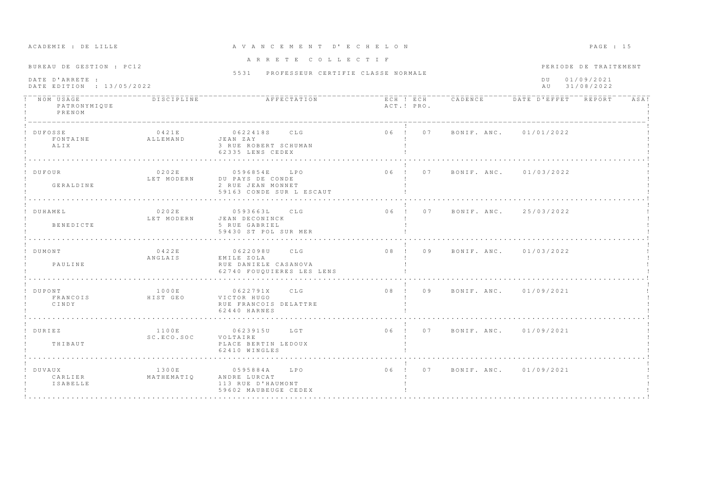| BUREAU DE GESTION : PC12                     |                      | ARRETE COLLECTIF                                                                                                                                                                       |             |                                       |                        | PERIODE DE TRAITEMENT    |      |
|----------------------------------------------|----------------------|----------------------------------------------------------------------------------------------------------------------------------------------------------------------------------------|-------------|---------------------------------------|------------------------|--------------------------|------|
| DATE D'ARRETE :<br>DATE EDITION : 13/05/2022 |                      | 5531 PROFESSEUR CERTIFIE CLASSE NORMALE                                                                                                                                                |             |                                       | D U<br>AU              | 01/09/2021<br>31/08/2022 |      |
| NOM USAGE<br>PATRONYMIQUE<br>PRENOM          | DISCIPLINE           | AFFECTATION                                                                                                                                                                            | ACT.! PRO.  | ECH ! ECH CADENCE DATE D'EFFET REPORT |                        |                          | ASA! |
| DUFOSSE<br>FONTAINE<br>ALIX                  | 0421E<br>ALLEMAND    | 0622418S CLG<br>JEAN ZAY<br>3 RUE ROBERT SCHUMAN<br>62335 LENS CEDEX<br>de la característica de la característica de la característica de la característica de la característica de la |             | 06 ! 07 BONIF. ANC. 01/01/2022        |                        |                          |      |
| ! DUFOUR<br>GERALDINE                        | 0.202E<br>LET MODERN | 0596854E LPO<br>DU PAYS DE CONDE<br>2 RUE JEAN MONNET<br>59163 CONDE SUR L ESCAUT                                                                                                      |             | 06 ! 07 BONIF. ANC. 01/03/2022        |                        |                          |      |
| ! DUHAMEL<br>BENEDICTE                       | 0202E<br>LET MODERN  | $0593663L$ CLG<br>JEAN DECONINCK<br>5 RUE GABRIEL<br>59430 ST POL SUR MER                                                                                                              |             | 06 ! 07 BONIF ANC 25/03/2022          |                        |                          |      |
| ! DUMONT<br>PAULINE                          | 0422E<br>ANGLAIS     | 0622098U CLG<br>EMILE ZOLA<br>RUE DANIELE CASANOVA<br>62740 FOUOUIERES LES LENS                                                                                                        |             | 08 ! 09 BONIF. ANC. 01/03/2022        |                        |                          |      |
| DUPONT<br>FRANCOIS<br>CINDY                  | 1000E<br>HIST GEO    | 0622791X CLG<br>VICTOR HUGO<br>RUE FRANCOIS DELATTRE<br>62440 HARNES                                                                                                                   | $08$ ! $09$ |                                       | BONIF, ANC. 01/09/2021 |                          |      |
| ! DURIEZ<br>THIBAUT                          | 1100E<br>SC.ECO.SOC  | 0623915U LGT<br>VOLTAIRE<br>PLACE BERTIN LEDOUX<br>62410 WINGLES                                                                                                                       |             | 06 ! 07 BONIF ANC. 01/09/2021         |                        |                          |      |
| ! DUVAUX<br>CARLIER<br>ISABELLE              | 1300E<br>MATHEMATIO  | 0595884A LPO<br>ANDRE LURCAT<br>113 RUE D'HAUMONT<br>59602 MAUBEUGE CEDEX                                                                                                              |             | 06 ! 07 BONIF. ANC. 01/09/2021        |                        |                          |      |

# A CADEMIE : DE LILLE CAN COM A V A N C E M E N T D'E C H E L O N CADEMIE : DE LILLE PAGE : 15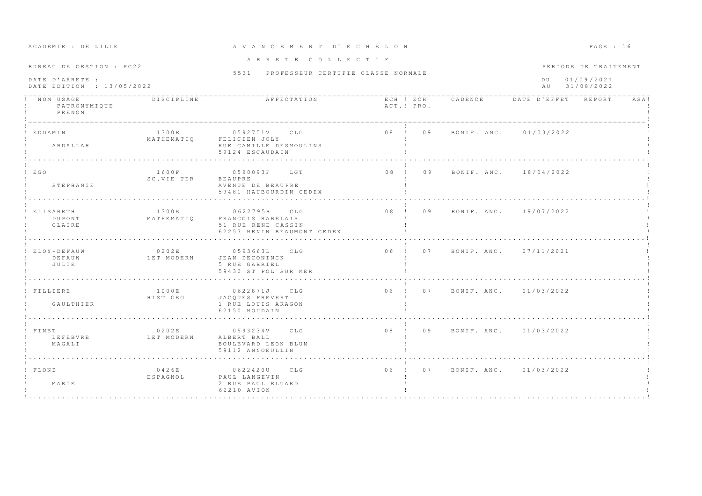| ACADEMIE . DE BIBB                                                                                                                                                                                                                                                                                                                                                                                             |                     | AVANC BRBNI                                                                                                                      |            |                                |                                | rnum. ru              |
|----------------------------------------------------------------------------------------------------------------------------------------------------------------------------------------------------------------------------------------------------------------------------------------------------------------------------------------------------------------------------------------------------------------|---------------------|----------------------------------------------------------------------------------------------------------------------------------|------------|--------------------------------|--------------------------------|-----------------------|
| BUREAU DE GESTION : PC22<br>DATE D'ARRETE :<br>DATE EDITION : 13/05/2022                                                                                                                                                                                                                                                                                                                                       |                     | ARRETE COLLECTIF                                                                                                                 |            |                                |                                | PERIODE DE TRAITEMENT |
|                                                                                                                                                                                                                                                                                                                                                                                                                |                     | 5531 PROFESSEUR CERTIFIE CLASSE NORMALE                                                                                          |            |                                | DU 01/09/2021<br>AU 31/08/2022 |                       |
| $\overline{N}$ $\overline{O}$ $\overline{M}$ $\overline{U}$ $\overline{S}$ $\overline{A}$ $\overline{G}$ $\overline{E}$ $\overline{S}$ $\overline{E}$ $\overline{S}$ $\overline{E}$ $\overline{S}$ $\overline{E}$ $\overline{S}$ $\overline{E}$ $\overline{S}$ $\overline{E}$ $\overline{S}$ $\overline{E}$ $\overline{S}$ $\overline{E}$ $\overline{S}$ $\overline{E}$ $\overline{$<br>PATRONYMIQUE<br>PRENOM |                     |                                                                                                                                  | ACT.! PRO. |                                |                                | ASA!                  |
| ! EDDAMIN<br>ABDALLAH                                                                                                                                                                                                                                                                                                                                                                                          | 1300E               | 0592751V CLG<br>MATHEMATIQ FELICIEN JOLY<br>RUE CAMILLE DESMOULINS<br>59124 ESCAUDAIN<br>de la caractería de la caractería de la |            | 08 ! 09 BONIF. ANC. 01/03/2022 |                                |                       |
| ! EGO<br>STEPHANIE                                                                                                                                                                                                                                                                                                                                                                                             | SC. VIE TER BEAUPRE | AVENUE DE BEAUPRE<br>59481 HAUBOURDIN CEDEX                                                                                      |            |                                |                                |                       |
| ! ELISABETH<br><b>DUPONT</b><br>CLAIRE                                                                                                                                                                                                                                                                                                                                                                         |                     | 1300E 0622795B CLG<br>MATHEMATIQ FRANCOIS RABELAIS<br>51 RUE RENE CASSIN<br>62253 HENIN BEAUMONT CEDEX                           |            | 08 ! 09 BONIF, ANC. 19/07/2022 |                                |                       |
| ! ELOY-DEFAUW<br>DEFAUW<br>JULIE                                                                                                                                                                                                                                                                                                                                                                               | 0202E               | 0593663L CLG<br>LET MODERN JEAN DECONINCK<br>5 RUE GABRIEL<br>59430 ST POL SUR MER                                               |            | 06 ! 07 BONIF. ANC. 07/11/2021 |                                |                       |
| ! FILLIERE<br>GAULTHIER                                                                                                                                                                                                                                                                                                                                                                                        | 1000E<br>HIST GEO   | 0622871J CLG<br>JACQUES PREVERT<br>1 RUE LOUIS ARAGON<br>62150 HOUDAIN                                                           |            | 06 ! 07 BONIF. ANC. 01/03/2022 |                                |                       |
| ! FINET<br>LEFEBVRE                           LET MODERN           ALBERT BALL<br>MAGALI                                                                                                                                                                                                                                                                                                                       | 0202E               | 0593234V CLG<br>BOULEVARD LEON BLUM<br>59112 ANNOEULLIN                                                                          |            | 08 ! 09 BONIF. ANC. 01/03/2022 |                                |                       |
| ! FLOND<br>MARIE                                                                                                                                                                                                                                                                                                                                                                                               | 0426E<br>ESPAGNOL   | 0622420U CLG<br>PAUL LANGEVIN<br>2 RUE PAUL ELUARD<br>62210 AVION                                                                |            | 06 ! 07 BONIF. ANC. 01/03/2022 |                                |                       |

### A C A D E M I E : D E L I L L E A V A N C E M E N T D ' E C H E L O N P A G E : 1 6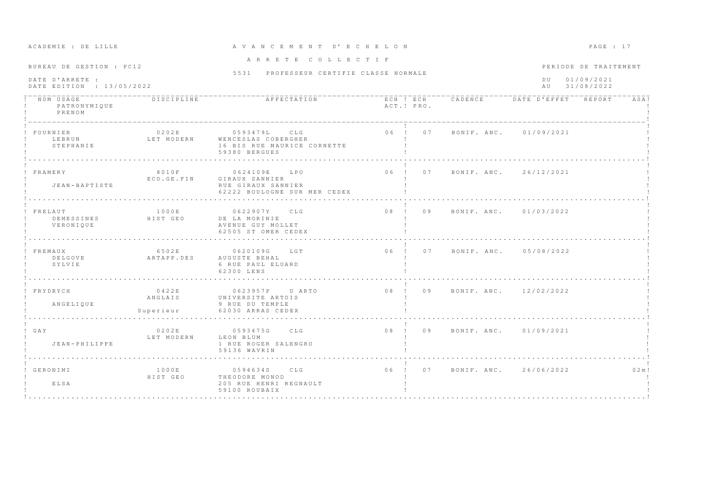| ROUDEMIN : DR PIPPR                                                                                   |                                   | AVAN CEMENT D'ECHELON                                                                                     |                                         |            |                                |  | FAGE : I/             |           |
|-------------------------------------------------------------------------------------------------------|-----------------------------------|-----------------------------------------------------------------------------------------------------------|-----------------------------------------|------------|--------------------------------|--|-----------------------|-----------|
| BUREAU DE GESTION : PC12                                                                              |                                   | ARRETE COLLECTIF                                                                                          |                                         |            |                                |  | PERIODE DE TRAITEMENT |           |
|                                                                                                       |                                   |                                                                                                           | 5531 PROFESSEUR CERTIFIE CLASSE NORMALE |            |                                |  |                       |           |
| DATE D'ARRETE :<br>DATE EDITION : 13/05/2022                                                          |                                   |                                                                                                           |                                         |            | DU 01/09/2021<br>AU 31/08/2022 |  |                       |           |
| $\frac{1}{1}$ - $\frac{1}{NOM}$ - $\frac{1}{USAGE}$ - - - - - - - - - - - -<br>PATRONYMIQUE<br>PRENOM | <b>DISCIPLINE</b>                 |                                                                                                           |                                         | ACT.! PRO. |                                |  |                       | ASA!      |
| ! FOURNIER<br>STEPHANIE                                                                               | 0202E                             | 0593479L CLG<br>LEBRUN – LET MODERN – WENCESLAS COBERGHER<br>16 BIS RUE MAURICE CORNETTE<br>59380 BERGUES |                                         |            | 06 ! 07 BONIF. ANC. 01/09/2021 |  |                       |           |
| ! FRAMERY<br>JEAN-BAPTISTE                                                                            |                                   | ECO.GE.FIN GIRAUX SANNIER<br>RUE GIRAUX SANNIER<br>62222 BOULOGNE SUR MER CEDEX                           |                                         |            |                                |  |                       |           |
| ! FRELAUT<br>DEMESSINES HIST GEO<br>VERONIQUE                                                         | 1000E                             | 0622907Y CLG<br>DE LA MORINIE<br>AVENUE GUY MOLLET<br>62505 ST OMER CEDEX                                 |                                         |            | 08 ! 09 BONIF ANC. 01/03/2022  |  |                       |           |
| ! FREMAUX<br>SYLVIE                                                                                   | 6502E                             | 0620109G LGT<br>6 RUE PAUL ELUARD<br>62300 LENS                                                           |                                         |            | 06 ! 07 BONIF, ANC, 05/08/2022 |  |                       |           |
| ! FRYDRYCH<br>ANGELIQUE                                                                               | 0.422E<br>ANGLAIS<br>Superieur    | 0623957P U ARTO<br>UNIVERSITE ARTOIS<br>9 RUE DU TEMPLE<br>62030 ARRAS CEDEX                              |                                         |            | 08 ! 09 BONIF. ANC. 12/02/2022 |  |                       |           |
| GAY<br>JEAN-PHILIPPE                                                                                  | 0 2 0 2 E<br>LET MODERN LEON BLUM | 0593475G CLG<br>1 RUE ROGER SALENGRO<br>59136 WAVRIN                                                      |                                         |            | 08 ! 09 BONIF. ANC. 01/09/2021 |  |                       |           |
| ! GERONIMI<br>ELSA                                                                                    | 1000E<br>HIST GEO                 | 0594634S CLG<br>THEODORE MONOD<br>205 RUE HENRI REGNAULT<br>59100 ROUBAIX                                 |                                         |            | 06 ! 07 BONIF, ANC. 26/06/2022 |  |                       | $0.2$ m ! |

### A CA DE VAN CE MENTE A VAN CE MENTE DE L'ALIAN DE L'ALIAN DE L'ALIAN DE L'ALIAN DE L'ALIAN DE L'ALIAN DE L'ALI<br>A GA GE ESTE EN ESTE EN L'ALIAN DE L'ALIAN DE L'ALIAN DE L'ALIAN DE L'ALIAN DE L'ALIAN DE L'ALIAN DE L'ALIAN D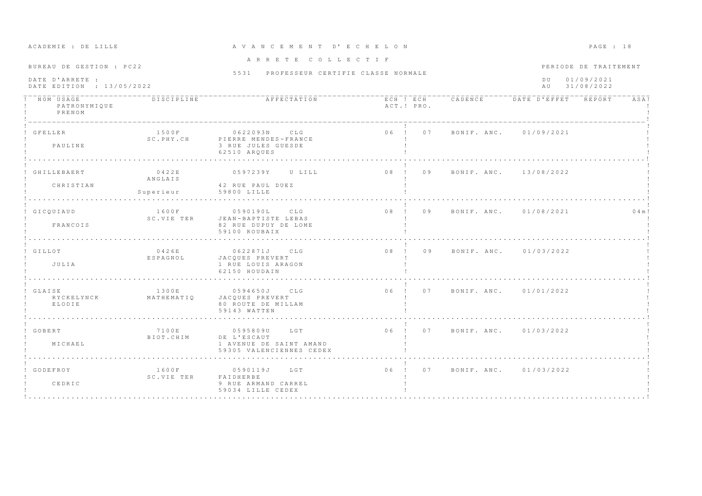| ACADEMIE : DE LILLE                                                      |                               | A V A N C E M E N T D' E C H E L O N                                               |                                |                        | PAGE : 18                                         |
|--------------------------------------------------------------------------|-------------------------------|------------------------------------------------------------------------------------|--------------------------------|------------------------|---------------------------------------------------|
| BUREAU DE GESTION : PC22<br>DATE D'ARRETE :<br>DATE EDITION : 13/05/2022 |                               | ARRETE COLLECTIF<br>5531 PROFESSEUR CERTIFIE CLASSE NORMALE                        |                                | $D$ U<br>A U           | PERIODE DE TRAITEMENT<br>01/09/2021<br>31/08/2022 |
| ! NOM USAGE<br>PATRONYMIQUE<br>PRENOM                                    | <b>DISCIPLINE</b>             | THE REPORT AFFECTATION THE RESERVE THE PLATE D'EFFET REPORT                        | ACT.! PRO.                     |                        | ASA!                                              |
| ! GFELLER<br>PAULINE                                                     | 1500F<br>SC.PHY.CH            | 0622093N CLG<br>PIERRE MENDES-FRANCE<br>3 RUE JULES GUESDE<br>62510 ARQUES         | 06 ! 07 BONIF. ANC. 01/09/2021 |                        |                                                   |
| ! GHILLEBAERT<br>CHRISTIAN                                               | 0422E<br>ANGLAIS<br>Superieur | 0597239Y U LILL<br>42 RUE PAUL DUEZ<br>59800 LILLE                                 | 08 ! 09                        | BONIF, ANC. 13/08/2022 |                                                   |
| ! GICOUIAUD<br>FRANCOIS                                                  | 1600F<br>SC.VIE TER           | 0590190L CLG<br>JEAN-BAPTISTE LEBAS<br>82 RUE DUPUY DE LOME<br>59100 ROUBAIX       | 08 ! 09 BONIF. ANC. 01/08/2021 |                        | 0.4 m!                                            |
| ! GILLOT<br>JULIA                                                        | 0426E<br>ESPAGNOL             | 0622871J CLG<br>JACOUES PREVERT<br>1 RUE LOUIS ARAGON<br>62150 HOUDAIN             | 08 ! 09 BONIF. ANC. 01/03/2022 |                        |                                                   |
| ! GLAISE<br>RYCKELYNCK<br>ELODIE                                         | 1300E<br>MATHEMATIQ           | 0594650J CLG<br>JACOUES PREVERT<br>80 ROUTE DE MILLAM<br>59143 WATTEN              | 06 ! 07 BONIF ANC 01/01/2022   |                        |                                                   |
| ! GOBERT<br>MICHAEL                                                      | 7100E<br>BIOT.CHIM            | 0595809U LGT<br>DE L'ESCAUT<br>1 AVENUE DE SAINT AMAND<br>59305 VALENCIENNES CEDEX | 06 ! 07 BONIF ANC. 01/03/2022  |                        |                                                   |
| GODEFROY<br>CEDRIC                                                       | 1600F<br>SC.VIE TER           | 0590119J LGT<br>FAIDHERBE<br>9 RUE ARMAND CARREL<br>59034 LILLE CEDEX              | $06$ !<br>0.7                  | BONIF. ANC. 01/03/2022 |                                                   |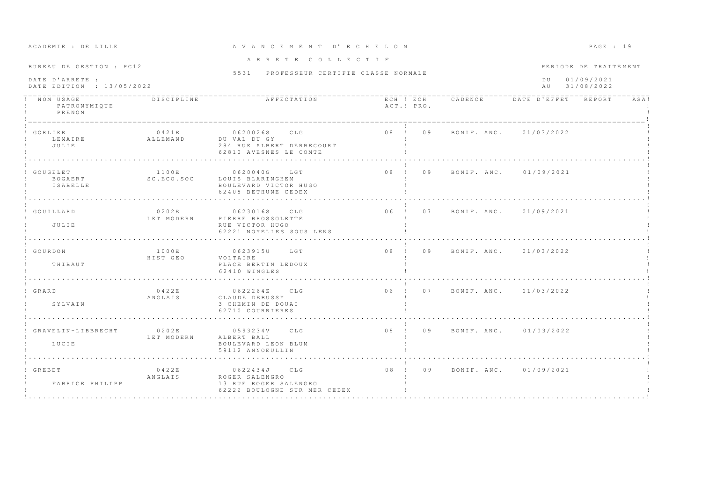| ACADEMIE : DE LILLE                                                      |                     | A V A N C E M E N T D' E C H E L O N                                                    |            |                                | PAGE : 19                                                      |  |
|--------------------------------------------------------------------------|---------------------|-----------------------------------------------------------------------------------------|------------|--------------------------------|----------------------------------------------------------------|--|
| BUREAU DE GESTION : PC12<br>DATE D'ARRETE :<br>DATE EDITION : 13/05/2022 |                     | ARRETE COLLECTIF<br>5531 PROFESSEUR CERTIFIE CLASSE NORMALE                             |            |                                | PERIODE DE TRAITEMENT<br>01/09/2021<br>DU.<br>31/08/2022<br>AU |  |
| NOM USAGE<br>PATRONYMIQUE<br>PRENOM                                      | DISCIPLINE          | AFFECTATION                                                                             | ACT.! PRO. |                                | ECH ! ECH CADENCE DATE D'EFFET REPORT<br>ASA!                  |  |
| GORLIER<br>LEMAIRE<br>JULIE                                              | 0421E<br>ALLEMAND   | 0620026S CLG<br>DU VAL DU GY<br>284 RUE ALBERT DERBECOURT<br>62810 AVESNES LE COMTE     |            | 08 ! 09 BONIF. ANC. 01/03/2022 |                                                                |  |
| GOUGELET<br>BOGAERT<br>ISABELLE                                          | 1100E<br>SC.ECO.SOC | 0620040G LGT<br>LOUIS BLARINGHEM<br>BOULEVARD VICTOR HUGO<br>62408 BETHUNE CEDEX        | $08$ ! 09  | BONIF, ANC, 01/09/2021         |                                                                |  |
| GOUILLARD<br>JULIE                                                       | 0202E<br>LET MODERN | 0623016S CLG<br>PIERRE BROSSOLETTE<br>RUE VICTOR HUGO<br>62221 NOYELLES SOUS LENS<br>.  | 06 ! 07    |                                | BONIF. ANC. 01/09/2021                                         |  |
| ! GOURDON<br>THIBAUT                                                     | 1000E<br>HIST GEO   | 0623915U LGT<br>VOLTAIRE<br>PLACE BERTIN LEDOUX<br>62410 WINGLES                        |            | 08 ! 09 BONIF, ANC. 01/03/2022 |                                                                |  |
| ! GRARD<br>SYLVAIN                                                       | 0422E<br>ANGLAIS    | 0622264Z CLG<br>CLAUDE DEBUSSY<br>3 CHEMIN DE DOUAI<br>62710 COURRIERES                 |            | 06 ! 07 BONIF. ANC. 01/03/2022 |                                                                |  |
| ! GRAVELIN-LIBBRECHT<br>LUCIE                                            | 0202E<br>LET MODERN | 0593234V CLG<br>ALBERT BALL<br>BOULEVARD LEON BLUM<br>59112 ANNOEULLIN                  |            | 08 ! 09 BONIF. ANC. 01/03/2022 |                                                                |  |
| ! GREBET<br>FABRICE PHILIPP                                              | 0422E<br>ANGLAIS    | 0622434J CLG<br>ROGER SALENGRO<br>13 RUE ROGER SALENGRO<br>62222 BOULOGNE SUR MER CEDEX |            | 08 ! 09 BONIF. ANC. 01/09/2021 |                                                                |  |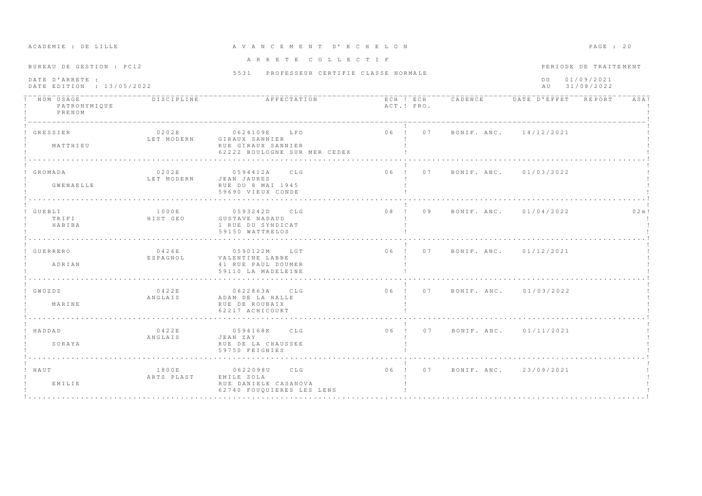| BUREAU DE GESTION : PC12                     |                                 | ARRETE COLLECTIF                                                                     |            |  |                                       |  |  |      |
|----------------------------------------------|---------------------------------|--------------------------------------------------------------------------------------|------------|--|---------------------------------------|--|--|------|
|                                              |                                 | 5531 PROFESSEUR CERTIFIE CLASSE NORMALE                                              |            |  | PERIODE DE TRAITEMENT                 |  |  |      |
| DATE D'ARRETE :<br>DATE EDITION : 13/05/2022 |                                 |                                                                                      |            |  | DU 01/09/2021<br>AU 31/08/2022        |  |  |      |
| ! NOM USAGE<br>PATRONYMIQUE<br>PRENOM        | <b>DISCIPLINE</b>               | AFFECTATION                                                                          | ACT.! PRO. |  | ECH ! ECH CADENCE DATE D'EFFET REPORT |  |  | ASA! |
| ! GRESSIER<br>MATTHIEU                       | 0202E<br>LET MODERN             | 0624109E LPO<br>GIRAUX SANNIER<br>RUE GIRAUX SANNIER<br>62222 BOULOGNE SUR MER CEDEX |            |  | 06 ! 07 BONIF. ANC. 14/12/2021        |  |  |      |
|                                              |                                 |                                                                                      |            |  |                                       |  |  |      |
| ! GROMADA<br>GWENAELLE                       | 0202E<br>LET MODERN JEAN JAURES | 0594412A CLG<br>RUE DU 8 MAI 1945                                                    |            |  | 06 ! 07 BONIF. ANC. 01/03/2022        |  |  |      |
|                                              |                                 | 59690 VIEUX CONDE                                                                    |            |  |                                       |  |  |      |
| ! GUEBLI                                     | 1000E                           | 0593242D CLG                                                                         |            |  | 08 ! 09 BONIF. ANC. 01/04/2022        |  |  | 02m! |
| TRIFI<br>HABIBA                              | HIST GEO                        | GUSTAVE NADAUD<br>1 RUE DU SYNDICAT<br>59150 WATTRELOS                               |            |  |                                       |  |  |      |
|                                              |                                 |                                                                                      |            |  |                                       |  |  |      |
| GUERRERO                                     | 0426E<br>ESPAGNOL               | 0590122M LGT<br>VALENTINE LABBE                                                      |            |  | 06 ! 07 BONIF, ANC. 01/12/2021        |  |  |      |
| ADRIAN                                       |                                 | 41 RUE PAUL DOUMER<br>59110 LA MADELEINE                                             |            |  |                                       |  |  |      |
|                                              |                                 |                                                                                      |            |  |                                       |  |  |      |
| $!$ GWOZDZ                                   | 0422E<br>ANGLAIS                | 0622863A CLG<br>ADAM DE LA HALLE                                                     |            |  | 06 ! 07 BONIF. ANC. 01/03/2022        |  |  |      |
| MARINE                                       |                                 | RUE DE ROUBAIX<br>62217 ACHICOURT                                                    |            |  |                                       |  |  |      |
|                                              |                                 |                                                                                      |            |  |                                       |  |  |      |
| ! HADDAD                                     | 0422E<br>ANGLAIS                | 0594168K CLG<br>JEAN ZAY                                                             |            |  | 06 ! 07 BONIF. ANC. 01/11/2021        |  |  |      |
| SORAYA                                       |                                 | RUE DE LA CHAUSSEE<br>59750 FEIGNIES                                                 |            |  |                                       |  |  |      |
|                                              |                                 |                                                                                      |            |  |                                       |  |  |      |
| ! HAUT                                       | 1800E<br>ARTS PLAST             | 0622098U CLG<br>EMILE ZOLA                                                           |            |  | 06 ! 07 BONIF ANC 23/09/2021          |  |  |      |
| EMILIE                                       |                                 | RUE DANIELE CASANOVA<br>62740 FOUOUIERES LES LENS                                    |            |  |                                       |  |  |      |

# A CA DREATH A C E M E N T D'E C H E LON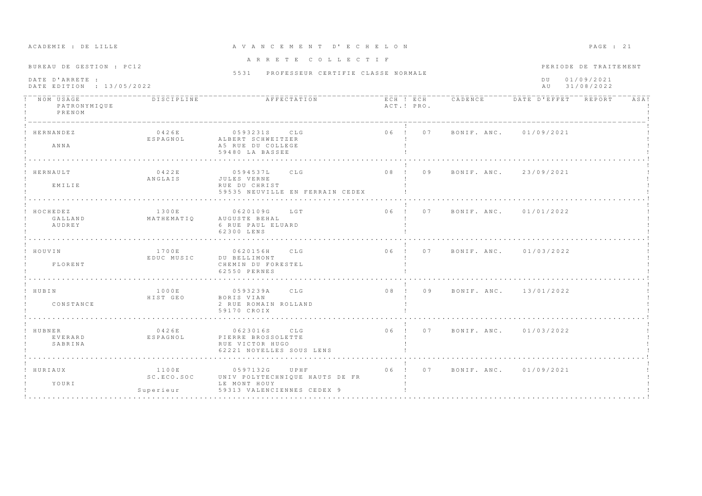| ACADEMIE : DE LILLE                                                      |                                    | A V A N C E M E N T D' E C H E L O N                                                             |            |    |                                                             |                        | PAGE : 21 |      |
|--------------------------------------------------------------------------|------------------------------------|--------------------------------------------------------------------------------------------------|------------|----|-------------------------------------------------------------|------------------------|-----------|------|
| BUREAU DE GESTION : PC12<br>DATE D'ARRETE :<br>DATE EDITION : 13/05/2022 |                                    | ARRETE COLLECTIF<br>5531 PROFESSEUR CERTIFIE CLASSE NORMALE                                      |            |    | PERIODE DE TRAITEMENT<br>01/09/2021<br>D U<br>AU 31/08/2022 |                        |           |      |
| NOM USAGE<br>PATRONYMIQUE<br>PRENOM                                      | <b>DISCIPLINE</b>                  | AFFECTATION                                                                                      | ACT.! PRO. |    | ECH ! ECH CADENCE DATE D'EFFET REPORT                       |                        |           | ASA! |
| HERNANDEZ<br>ANNA                                                        | 0426E<br>ESPAGNOL                  | 0593231S CLG<br>ALBERT SCHWEITZER<br>A5 RUE DU COLLEGE<br>59480 LA BASSEE                        | 06 ! 07    |    |                                                             | BONIF, ANC. 01/09/2021 |           |      |
| HERNAULT<br>EMILIE                                                       | 0422E<br>ANGLAIS                   | C L G<br>05945371<br>JULES VERNE<br>RUE DU CHRIST<br>59535 NEUVILLE EN FERRAIN CEDEX             | $0.8$ $1$  | 09 |                                                             | BONIF, ANC. 23/09/2021 |           |      |
| HOCHEDEZ<br>GALLAND<br>AUDREY                                            | 1300E<br>MATHEMATIQ                | 0620109G<br>LGT<br>AUGUSTE BEHAL<br>6 RUE PAUL ELUARD<br>62300 LENS                              |            |    | 06 ! 07 BONIF ANC 01/01/2022                                |                        |           |      |
| HOUVIN<br>FLORENT                                                        | 1700E<br>EDUC MUSIC                | 0620156H CLG<br>DU BELLIMONT<br>CHEMIN DU FORESTEL<br>62550 PERNES                               |            |    | 06 ! 07 BONIF. ANC. 01/03/2022                              |                        |           |      |
| ! HUBIN<br>CONSTANCE                                                     | 1000E<br>HIST GEO                  | 0593239A CLG<br>BORIS VIAN<br>2 RUE ROMAIN ROLLAND<br>59170 CROIX                                |            |    | 08 ! 09 BONIF. ANC. 13/01/2022                              |                        |           |      |
| HUBNER<br>EVERARD<br>SABRINA                                             | 0426E<br>ESPAGNOL                  | 0623016S CLG<br>PIERRE BROSSOLETTE<br>RUE VICTOR HUGO<br>62221 NOYELLES SOUS LENS                |            |    | 06 ! 07 BONIF ANC. 01/03/2022                               |                        |           |      |
| HURIAUX<br>YOURI                                                         | 1100E<br>SC. ECO. SOC<br>Superieur | 0597132G<br>UPHF<br>UNIV POLYTECHNIQUE HAUTS DE FR<br>LE MONT HOUY<br>59313 VALENCIENNES CEDEX 9 | $06$ !     | 07 |                                                             | BONIF, ANC. 01/09/2021 |           |      |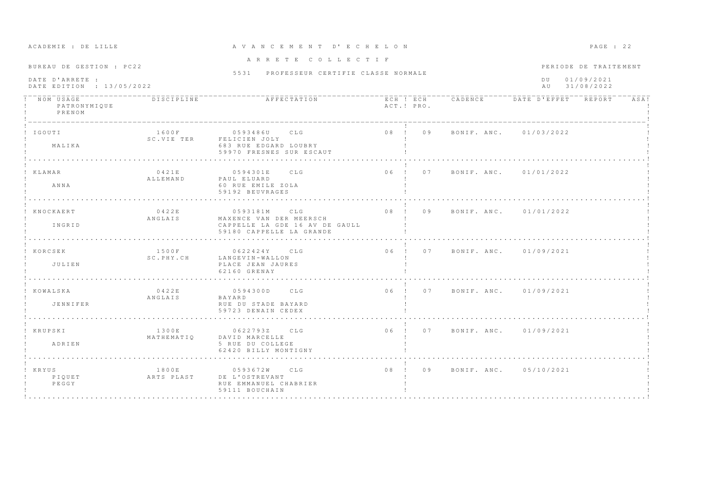| ACADEMIE : DE LILLE                                                      |                     | A V A N C E M E N T D' E C H E L O N                                                                     |            |                                       |                        | $PAGE$ : 22                                       |      |
|--------------------------------------------------------------------------|---------------------|----------------------------------------------------------------------------------------------------------|------------|---------------------------------------|------------------------|---------------------------------------------------|------|
| BUREAU DE GESTION : PC22<br>DATE D'ARRETE :<br>DATE EDITION : 13/05/2022 |                     | ARRETE COLLECTIF<br>5531 PROFESSEUR CERTIFIE CLASSE NORMALE                                              |            |                                       | D U<br>A U             | PERIODE DE TRAITEMENT<br>01/09/2021<br>31/08/2022 |      |
| NOM USAGE<br>PATRONYMIQUE<br>PRENOM                                      | DISCIPLINE          | AFFECTATION                                                                                              | ACT.! PRO. | ECH ! ECH CADENCE DATE D'EFFET REPORT |                        |                                                   | ASA! |
| IGOUTI<br>MALIKA                                                         | 1600F<br>SC.VIE TER | 0593486U CLG<br>FELICIEN JOLY<br>683 RUE EDGARD LOUBRY<br>59970 FRESNES SUR ESCAUT                       | 08 ! 09    |                                       | BONIF. ANC. 01/03/2022 |                                                   |      |
| KLAMAR<br>ANNA                                                           | 0421E<br>ALLEMAND   | 0594301E<br>CLG<br>PAUL ELUARD<br>60 RUE EMILE ZOLA<br>59192 BEUVRAGES                                   | 06 ! 07    |                                       | BONIF. ANC. 01/01/2022 |                                                   |      |
| KNOCKAERT<br>INGRID                                                      | 0422E<br>ANGLAIS    | 0593181M<br>CLG<br>MAXENCE VAN DER MEERSCH<br>CAPPELLE LA GDE 16 AV DE GAULL<br>59180 CAPPELLE LA GRANDE |            | 08 ! 09 BONIF. ANC. 01/01/2022        |                        |                                                   |      |
| ! KORCSEK<br>JULIEN                                                      | 1500F<br>SC.PHY.CH  | 0622424Y CLG<br>LANGEVIN-WALLON<br>PLACE JEAN JAURES<br>62160 GRENAY                                     |            | 06 ! 07 BONIF, ANC, 01/09/2021        |                        |                                                   |      |
| ! KOWALSKA<br>JENNIFER                                                   | 0422E<br>ANGLAIS    | 0594300D CLG<br>BAYARD<br>RUE DU STADE BAYARD<br>59723 DENAIN CEDEX                                      |            | 06 ! 07 BONIF, ANC. 01/09/2021        |                        |                                                   |      |
| ! KRUPSKI<br>ADRIEN                                                      | 1300E<br>MATHEMATIQ | 0622793Z CLG<br>DAVID MARCELLE<br>5 RUE DU COLLEGE<br>62420 BILLY MONTIGNY                               |            | 06 ! 07 BONIF ANC 01/09/2021          |                        |                                                   |      |
| ! KRYUS<br>PIQUET<br>PEGGY                                               | 1800E<br>ARTS PLAST | 0593672W CLG<br>DE L'OSTREVANT<br>RUE EMMANUEL CHABRIER<br>59111 BOUCHAIN                                | $08$ ! 09  |                                       | BONIF, ANC. 05/10/2021 |                                                   |      |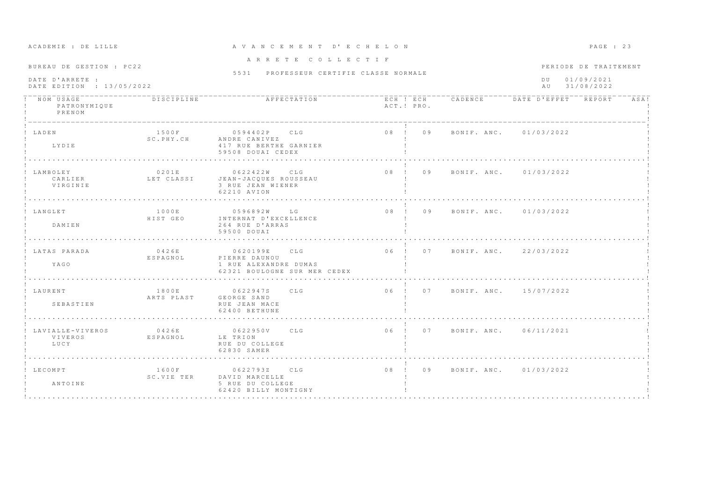| ACADEMIE : DE LILLE                                                      |                     | A V A N C E M E N T D' E C H E L O N                                                    |                                |                                | PAGE : 23                                                      |  |
|--------------------------------------------------------------------------|---------------------|-----------------------------------------------------------------------------------------|--------------------------------|--------------------------------|----------------------------------------------------------------|--|
| BUREAU DE GESTION : PC22<br>DATE D'ARRETE :<br>DATE EDITION : 13/05/2022 |                     | ARRETE COLLECTIF<br>5531 PROFESSEUR CERTIFIE CLASSE NORMALE                             |                                |                                | PERIODE DE TRAITEMENT<br>01/09/2021<br>D U<br>31/08/2022<br>AU |  |
| ! NOM USAGE<br>PATRONYMIQUE<br>PRENOM                                    | DISCIPLINE          | AFFECTATION                                                                             | ACT.! PRO.                     |                                | ECH ! ECH CADENCE DATE D'EFFET REPORT<br>ASA!                  |  |
| ! LADEN<br>LYDIE                                                         | 1500F<br>SC.PHY.CH  | 0594402P CLG<br>ANDRE CANIVEZ<br>417 RUE BERTHE GARNIER<br>59508 DOUAI CEDEX            | 08 ! 09 BONIF. ANC. 01/03/2022 |                                |                                                                |  |
| LAMBOLEY<br>CARLIER<br>VIRGINIE                                          | 0201E               | 0622422W<br>CLG<br>LET CLASSI JEAN-JACQUES ROUSSEAU<br>3 RUE JEAN WIENER<br>62210 AVION | 08 ! 09                        | BONIF. ANC. 01/03/2022         |                                                                |  |
| ! LANGLET<br>DAMIEN                                                      | 1000E<br>HIST GEO   | 0596892W<br>LG<br>INTERNAT D'EXCELLENCE<br>264 RUE D'ARRAS<br>59500 DOUAI               | 08 ! 09                        | BONIF, ANC. 01/03/2022         |                                                                |  |
| ! LATAS PARADA<br>YAGO                                                   | 0426E<br>ESPAGNOL   | 0620199E CLG<br>PIERRE DAUNOU<br>1 RUE ALEXANDRE DUMAS<br>62321 BOULOGNE SUR MER CEDEX  |                                | 06 ! 07 BONIF. ANC. 22/03/2022 |                                                                |  |
| ! LAURENT<br>SEBASTIEN                                                   | 1800E<br>ARTS PLAST | 0622947S CLG<br>GEORGE SAND<br>RUE JEAN MACE<br>62400 BETHUNE                           |                                | 06 ! 07 BONIF. ANC. 15/07/2022 |                                                                |  |
| LAVIALLE-VIVEROS<br>VIVEROS<br>LUCY                                      | 0426E<br>ESPAGNOL   | 0622950V CLG<br>LE TRION<br>RUE DU COLLEGE<br>62830 SAMER                               | 06 ! 07 BONIF. ANC. 06/11/2021 |                                |                                                                |  |
| ! LECOMPT<br>ANTOINE                                                     | SC.VIE TER          | 1600F 0622793Z CLG<br>DAVID MARCELLE<br>5 RUE DU COLLEGE<br>62420 BILLY MONTIGNY        | $08$ ! 09                      | BONIF, ANC, 01/03/2022         |                                                                |  |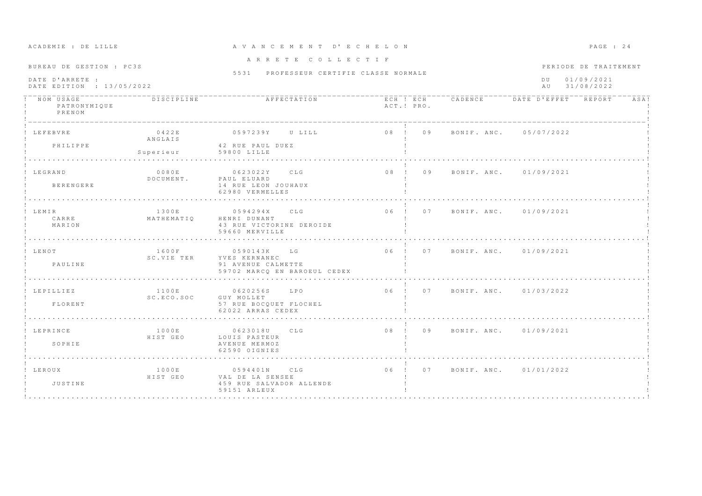| ACADEMIE : DE LILLE                                                      |                               | A V A N C E M E N T D' E C H E L O N                                               |                                | PAGE : 24                                                      |
|--------------------------------------------------------------------------|-------------------------------|------------------------------------------------------------------------------------|--------------------------------|----------------------------------------------------------------|
| BUREAU DE GESTION : PC3S<br>DATE D'ARRETE :<br>DATE EDITION : 13/05/2022 |                               | ARRETE COLLECTIF<br>5531 PROFESSEUR CERTIFIE CLASSE NORMALE                        |                                | PERIODE DE TRAITEMENT<br>01/09/2021<br>D U<br>31/08/2022<br>AU |
| NOM USAGE<br>PATRONYMIQUE<br>PRENOM                                      | <b>DISCIPLINE</b>             | AFFECTATION                                                                        | ACT.! PRO.                     | ECH ! ECH CADENCE DATE D'EFFET REPORT<br>ASA!                  |
| LEFEBVRE<br>PHILIPPE                                                     | 0422E<br>ANGLAIS<br>Superieur | 0597239Y U LILL<br>42 RUE PAUL DUEZ<br>59800 LILLE                                 | $08$ ! 09                      | BONIF, ANC. 05/07/2022                                         |
| ! LEGRAND<br>BERENGERE                                                   | 0080E<br>DOCUMENT.            | 0623022Y CLG<br>PAUL ELUARD<br>14 RUE LEON JOUHAUX<br>62980 VERMELLES              | 08 <sub>1</sub><br>09          | BONIF. ANC. 01/09/2021                                         |
| ! LEMIR<br>CARRE<br>MARION                                               | 1300E<br>MATHEMATIO           | CLG<br>0594294X<br>HENRI DUNANT<br>43 RUE VICTORINE DEROIDE<br>59660 MERVILLE      | 06 ! 07                        | BONIF, ANC. 01/09/2021                                         |
| ! LENOT<br>PAULINE                                                       | 1600F<br>SC.VIE TER           | 0590143K LG<br>YVES KERNANEC<br>91 AVENUE CALMETTE<br>59702 MARCQ EN BAROEUL CEDEX | 06 ! 07 BONIF. ANC. 01/09/2021 |                                                                |
| ! LEPILLIEZ<br>FLORENT                                                   | 1100E<br>SC.ECO.SOC           | 0620256S LPO<br>GUY MOLLET<br>57 RUE BOCOUET FLOCHEL<br>62022 ARRAS CEDEX          | 06 ! 07 BONIF. ANC. 01/03/2022 |                                                                |
| ! LEPRINCE<br>SOPHIE                                                     | 1000E<br>HIST GEO             | 0623018U CLG<br>LOUIS PASTEUR<br>AVENUE MERMOZ<br>62590 OIGNIES                    | 08 ! 09 BONIF ANC 01/09/2021   |                                                                |
| ! LEROUX<br>JUSTINE                                                      | 1000E<br>HIST GEO             | 0594401N CLG<br>VAL DE LA SENSEE<br>459 RUE SALVADOR ALLENDE<br>59151 ARLEUX       | 06 ! 07                        | BONIF, ANC. 01/01/2022                                         |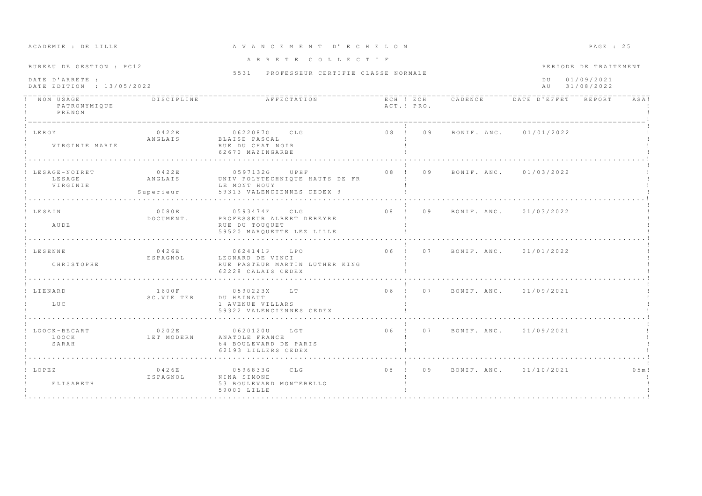| ACADEMIE . DE BIBBE                          |                               |                                                                                               |  |            |                                |                                   | trom . av             |        |
|----------------------------------------------|-------------------------------|-----------------------------------------------------------------------------------------------|--|------------|--------------------------------|-----------------------------------|-----------------------|--------|
| BUREAU DE GESTION : PC12                     |                               | ARRETE COLLECTIF                                                                              |  |            |                                |                                   | PERIODE DE TRAITEMENT |        |
|                                              |                               | 5531 PROFESSEUR CERTIFIE CLASSE NORMALE                                                       |  |            |                                |                                   |                       |        |
| DATE D'ARRETE :<br>DATE EDITION : 13/05/2022 |                               |                                                                                               |  |            |                                | DU 01/09/2021<br>31/08/2022<br>AU |                       |        |
| NOM USAGE<br>PATRONYMIQUE<br>PRENOM          | DISCIPLINE                    |                                                                                               |  | ACT.! PRO. |                                |                                   |                       | ASA!   |
| ! LEROY<br>VIRGINIE MARIE                    | 0422E<br>ANGLAIS              | 0622087G CLG<br>BLAISE PASCAL<br>RUE DU CHAT NOIR<br>62670 MAZINGARBE                         |  |            | 08 ! 09 BONIF. ANC. 01/01/2022 |                                   |                       |        |
| ! LESAGE-NOIRET<br>LESAGE<br>VIRGINIE        | 0422E<br>ANGLAIS<br>Superieur | 0597132G UPHF<br>UNIV POLYTECHNIQUE HAUTS DE FR<br>LE MONT HOUY<br>59313 VALENCIENNES CEDEX 9 |  |            | 08 ! 09 BONIF. ANC. 01/03/2022 |                                   |                       |        |
| ! LESAIN<br>AUDE                             | 0080E<br>DOCUMENT.            | 0593474F CLG<br>PROFESSEUR ALBERT DEBEYRE<br>RUE DU TOUQUET<br>59520 MARQUETTE LEZ LILLE      |  |            | 08 ! 09 BONIF ANC. 01/03/2022  |                                   |                       |        |
| ! LESENNE<br>CHRISTOPHE                      | 0426E<br>ESPAGNOL             | 0624141P LPO<br>LEONARD DE VINCI<br>RUE PASTEUR MARTIN LUTHER KING<br>62228 CALAIS CEDEX      |  |            | 06 ! 07 BONIF. ANC. 01/01/2022 |                                   |                       |        |
| LIENARD<br>LUC                               | 1600F<br>SC.VIE TER           | 0590223X LT<br>DU HAINAUT<br>1 AVENUE VILLARS<br>59322 VALENCIENNES CEDEX                     |  |            | 06 ! 07 BONIF. ANC. 01/09/2021 |                                   |                       |        |
| LOOCK-BECART<br>LOOCK<br>SARAH               | 0202E<br>LET MODERN           | 0620120U LGT<br>ANATOLE FRANCE<br>64 BOULEVARD DE PARIS<br>62193 LILLERS CEDEX                |  |            | 06 ! 07 BONIF. ANC. 01/09/2021 |                                   |                       |        |
| ! LOPEZ<br>ELISABETH                         | 0426E<br>ESPAGNOL             | 0596833G CLG<br>NINA SIMONE<br>53 BOULEVARD MONTEBELLO<br>59000 LILLE                         |  |            | 08 ! 09 BONIF. ANC. 01/10/2021 |                                   |                       | 0.5 m! |

# A CA DREATH A C E M E N T D'E C H E LON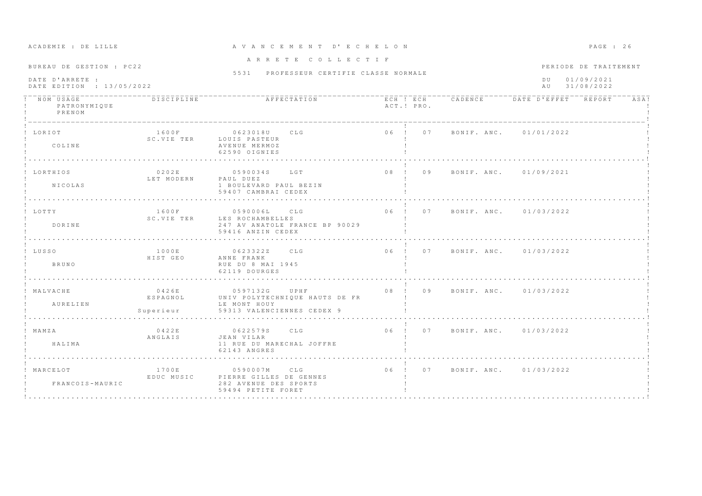| ACADEMIE : DE LILLE                                                      |                                | A V A N C E M E N T D' E C H E L O N                                                          |            |                                                         |                        | PAGE : 26                                         |
|--------------------------------------------------------------------------|--------------------------------|-----------------------------------------------------------------------------------------------|------------|---------------------------------------------------------|------------------------|---------------------------------------------------|
| BUREAU DE GESTION : PC22<br>DATE D'ARRETE :<br>DATE EDITION : 13/05/2022 |                                | ARRETE COLLECTIF<br>5531 PROFESSEUR CERTIFIE CLASSE NORMALE                                   |            |                                                         | D U<br>AU              | PERIODE DE TRAITEMENT<br>01/09/2021<br>31/08/2022 |
| ! NOM USAGE<br>PATRONYMIQUE<br>PRENOM                                    | <b>DISCIPLINE</b>              | AFFECTATION                                                                                   | ACT.! PRO. | - ECH T ECH - - - CADENCE - - - - DATE D'EFFET - REPORT |                        | ASA!                                              |
| ! LORTOT<br>COLINE                                                       | 1600F                          | 0623018U CLG<br>SC.VIE TER LOUIS PASTEUR<br>AVENUE MERMOZ<br>62590 OIGNIES                    | 06 ! 07    |                                                         | BONIF. ANC. 01/01/2022 |                                                   |
| ! LORTHIOS<br>NICOLAS                                                    | 0202E<br>LET MODERN            | 0590034S LGT<br>PAUL DUEZ<br>1 BOULEVARD PAUL BEZIN<br>59407 CAMBRAI CEDEX                    | 08 ! 09    |                                                         | BONIF, ANC. 01/09/2021 |                                                   |
| ! LOTTY<br>DORTNE                                                        | 1600F<br>SC.VIE TER            | 0590006L<br>CLG<br>LES ROCHAMBELLES<br>247 AV ANATOLE FRANCE BP 90029<br>59416 ANZIN CEDEX    |            | 06 ! 07 BONIF, ANC. 01/03/2022                          |                        |                                                   |
| ! LUSSO<br>BRUNO                                                         | 1000E<br>HIST GEO              | 0623322Z CLG<br>ANNE FRANK<br>RUE DU 8 MAI 1945<br>62119 DOURGES                              |            | 06 ! 07 BONIF. ANC. 01/03/2022                          |                        |                                                   |
| ! MALVACHE<br>AURELIEN                                                   | 0426E<br>ESPAGNOL<br>Superieur | 0597132G UPHF<br>UNIV POLYTECHNIQUE HAUTS DE FR<br>LE MONT HOUY<br>59313 VALENCIENNES CEDEX 9 |            | 08 ! 09 BONIF. ANC. 01/03/2022                          |                        |                                                   |
| ! MAMZA<br>HALIMA                                                        | 0422E<br>ANGLAIS               | 0622579S CLG<br>JEAN VILAR<br>11 RUE DU MARECHAL JOFFRE<br>62143 ANGRES                       |            | 06 ! 07 BONIF ANC. 01/03/2022                           |                        |                                                   |
| ! MARCELOT<br>FRANCOIS-MAURIC                                            | 1700E<br>EDUC MUSIC            | 0590007M CLG<br>PIERRE GILLES DE GENNES<br>282 AVENUE DES SPORTS<br>59494 PETITE FORET        |            | 06 ! 07 BONIF. ANC. 01/03/2022                          |                        |                                                   |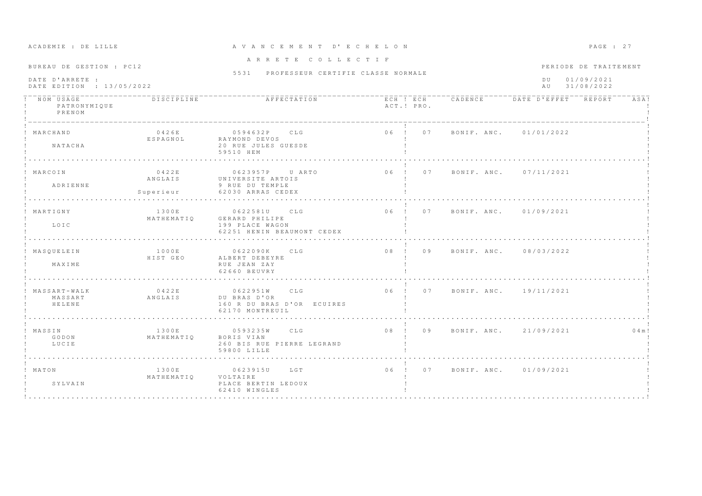| ACADEMIE : DE LILLE                          |                               | A V A N C E M E N T D' E C H E L O N                                               |                                |                               |                                       | $PAGE$ : 27              |
|----------------------------------------------|-------------------------------|------------------------------------------------------------------------------------|--------------------------------|-------------------------------|---------------------------------------|--------------------------|
| BUREAU DE GESTION : PC12                     |                               | ARRETE COLLECTIF<br>5531 PROFESSEUR CERTIFIE CLASSE NORMALE                        |                                |                               |                                       | PERIODE DE TRAITEMENT    |
| DATE D'ARRETE :<br>DATE EDITION : 13/05/2022 |                               |                                                                                    |                                |                               | D U<br>AU                             | 01/09/2021<br>31/08/2022 |
| NOM USAGE<br>PATRONYMIQUE<br>PRENOM          | DISCIPLINE                    | AFFECTATION                                                                        | ACT.! PRO.                     |                               | ECH ! ECH CADENCE DATE D'EFFET REPORT | ASA!                     |
| ! MARCHAND<br>NATACHA                        | 0426E<br>ESPAGNOL             | 0594632P CLG<br>RAYMOND DEVOS<br>20 RUE JULES GUESDE<br>59510 HEM                  | 06 ! 07 BONIF. ANC. 01/01/2022 |                               |                                       |                          |
| ! MARCOIN<br>ADRIENNE                        | 0422E<br>ANGLAIS<br>Superieur | 0623957P U ARTO<br>UNIVERSITE ARTOIS<br>9 RUE DU TEMPLE<br>62030 ARRAS CEDEX       | $06$ !<br>07                   |                               | BONIF, ANC. 07/11/2021                |                          |
| ! MARTIGNY<br>LOIC                           | 1300E<br>MATHEMATIO           | CLG<br>0622581U<br>GERARD PHILIPE<br>199 PLACE WAGON<br>62251 HENIN BEAUMONT CEDEX |                                | 06 ! 07 BONIF ANC. 01/09/2021 |                                       |                          |
| ! MASOUELEIN<br>MAXIME                       | 1000E<br>HIST GEO             | 0622090K CLG<br>ALBERT DEBEYRE<br>RUE JEAN ZAY<br>62660 BEUVRY                     |                                |                               | 08 ! 09 BONIF. ANC. 08/03/2022        |                          |
| $MASSART - WALK$<br>MASSART<br>HELENE        | 0422E<br>ANGLAIS              | 0622951W CLG<br>DU BRAS D'OR<br>160 R DU BRAS D'OR ECUIRES<br>62170 MONTREUIL      | 06 ! 07 BONIF. ANC. 19/11/2021 |                               |                                       |                          |
| ! MASSIN<br>GODON<br>LUCIE                   | 1300E<br>MATHEMATIQ           | 0593235W CLG<br>BORIS VIAN<br>260 BIS RUE PIERRE LEGRAND<br>59800 LILLE            | 08 ! 09                        |                               | BONIF, ANC, 21/09/2021                | 0 4 m!                   |
| ! MATON<br>SYLVAIN                           | 1300E<br>MATHEMATIO           | 0623915U LGT<br>VOLTAIRE<br>PLACE BERTIN LEDOUX<br>62410 WINGLES                   | 06 ! 07                        |                               | BONIF. ANC. 01/09/2021                |                          |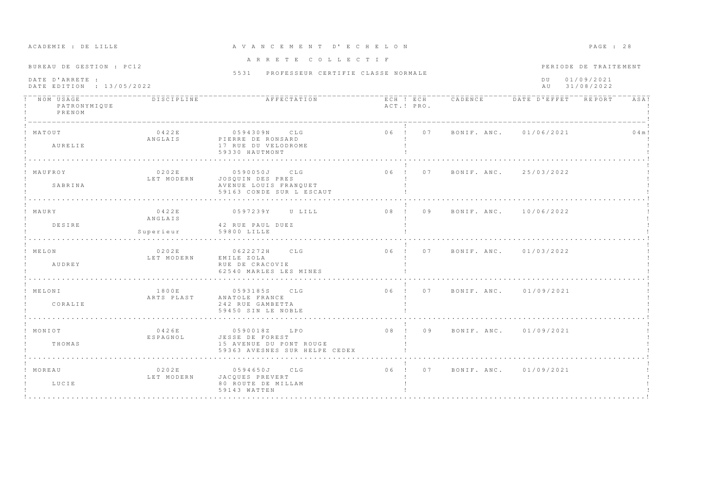| ACADEMIE : DE LILLE                                                      |                               | A V A N C E M E N T D' E C H E L O N                                                        |            |                                | PAGE : 28                                                       |           |
|--------------------------------------------------------------------------|-------------------------------|---------------------------------------------------------------------------------------------|------------|--------------------------------|-----------------------------------------------------------------|-----------|
| BUREAU DE GESTION : PC12<br>DATE D'ARRETE :<br>DATE EDITION : 13/05/2022 |                               | ARRETE COLLECTIF<br>5531 PROFESSEUR CERTIFIE CLASSE NORMALE                                 |            |                                | PERIODE DE TRAITEMENT<br>01/09/2021<br>D U<br>31/08/2022<br>A U |           |
| NOM USAGE<br>PATRONYMIQUE<br>PRENOM                                      | <b>DISCIPLINE</b>             | AFFECTATION                                                                                 | ACT.! PRO. |                                | ECH ! ECH CADENCE DATE D'EFFET REPORT                           | ASA!      |
| ! MATOUT<br>AURELIE                                                      | 0422E<br>ANGLAIS              | 0594309N CLG<br>PIERRE DE RONSARD<br>17 RUE DU VELODROME<br>59330 HAUTMONT                  |            | 06 ! 07 BONIF. ANC. 01/06/2021 |                                                                 | $0.4$ m ! |
| MAUFROY<br>SABRINA                                                       | 0202E<br>LET MODERN           | 0590050J CLG<br>JOSOUIN DES PRES<br>AVENUE LOUIS FRANQUET<br>59163 CONDE SUR L ESCAUT       |            | 06 ! 07 BONIF. ANC. 25/03/2022 |                                                                 |           |
| ! MAURY<br>DESIRE                                                        | 0422E<br>ANGLAIS<br>Superieur | 0597239Y<br>U LILL<br>42 RUE PAUL DUEZ<br>59800 LILLE                                       | 08 ! 09    |                                | BONIF, ANC. 10/06/2022                                          |           |
| ! MELON<br>AUDREY                                                        | 0202E<br>LET MODERN           | 0622272H CLG<br>EMILE ZOLA<br>RUE DE CRACOVIE<br>62540 MARLES LES MINES                     |            | 06 ! 07 BONIF. ANC. 01/03/2022 |                                                                 |           |
| ! MELONI<br>CORALIE                                                      | 1800E                         | 0593185S CLG<br>ARTS PLAST ANATOLE FRANCE<br>242 RUE GAMBETTA<br>59450 SIN LE NOBLE         |            | 06 ! 07 BONIF. ANC. 01/09/2021 |                                                                 |           |
| ! MONIOT<br>THOMAS                                                       | 0426E<br>ESPAGNOL             | 0590018Z LPO<br>JESSE DE FOREST<br>15 AVENUE DU PONT ROUGE<br>59363 AVESNES SUR HELPE CEDEX |            | 08 ! 09 BONIF. ANC. 01/09/2021 |                                                                 |           |
| ! MOREAU<br>LUCIE                                                        | 0202E<br>LET MODERN           | 0594650J CLG<br>JACQUES PREVERT<br>80 ROUTE DE MILLAM<br>59143 WATTEN                       | 06 ! 07    |                                | BONIF, ANC. 01/09/2021                                          |           |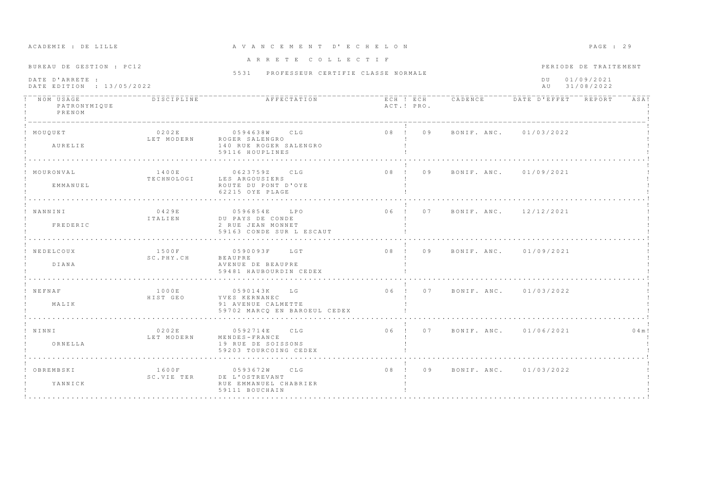| ACADEMIE : DE LILLE                                                      |                     | A V A N C E M E N T D' E C H E L O N                                                   |                 |                                |                                       | PAGE : 29                                         |         |
|--------------------------------------------------------------------------|---------------------|----------------------------------------------------------------------------------------|-----------------|--------------------------------|---------------------------------------|---------------------------------------------------|---------|
| BUREAU DE GESTION : PC12<br>DATE D'ARRETE :<br>DATE EDITION : 13/05/2022 |                     | ARRETE COLLECTIF<br>5531 PROFESSEUR CERTIFIE CLASSE NORMALE                            |                 |                                | D U<br>AU                             | PERIODE DE TRAITEMENT<br>01/09/2021<br>31/08/2022 |         |
| NOM USAGE<br>PATRONYMIQUE<br>PRENOM                                      | DISCIPLINE          | AFFECTATION                                                                            | ACT.! PRO.      |                                | ECH ! ECH CADENCE DATE D'EFFET REPORT |                                                   | ASA!    |
| ! MOUQUET<br>AURELIE                                                     | 0202E<br>LET MODERN | 0594638W CLG<br>ROGER SALENGRO<br>140 RUE ROGER SALENGRO<br>59116 HOUPLINES            | 08 ! 09         |                                | BONIF, ANC. 01/03/2022                |                                                   |         |
| MOURONVAL<br>EMMANUEL                                                    | 1400E<br>TECHNOLOGI | 0623759Z CLG<br>LES ARGOUSIERS<br>ROUTE DU PONT D'OYE<br>62215 OYE PLAGE               | $0.8$ $1$ $0.9$ |                                | BONIF, ANC. 01/09/2021                |                                                   |         |
| ! NANNINI<br>FREDERIC                                                    | 0429E<br>ITALIEN    | 0596854E<br>L P O<br>DU PAYS DE CONDE<br>2 RUE JEAN MONNET<br>59163 CONDE SUR L ESCAUT | 06 ! 07         |                                | BONIF. ANC. 12/12/2021                |                                                   |         |
| NEDELCOUX<br>DIANA                                                       | 1500F<br>SC.PHY.CH  | 0590093F LGT<br>BEAUPRE<br>AVENUE DE BEAUPRE<br>59481 HAUBOURDIN CEDEX                 |                 | 08 ! 09 BONIF. ANC. 01/09/2021 |                                       |                                                   |         |
| ! NEFNAF<br>MALIK                                                        | 1000E<br>HIST GEO   | 0590143K LG<br>YVES KERNANEC<br>91 AVENUE CALMETTE<br>59702 MARCQ EN BAROEUL CEDEX     |                 | 06 ! 07 BONIF. ANC. 01/03/2022 |                                       |                                                   |         |
| ! NINNI<br>ORNELLA                                                       | 0202E<br>LET MODERN | 0592714E CLG<br>MENDES-FRANCE<br>19 RUE DE SOISSONS<br>59203 TOURCOING CEDEX           |                 |                                | 06 ! 07 BONIF. ANC. 01/06/2021        |                                                   | 0 4 m ! |
| OBREMBSKI<br>YANNICK                                                     | SC.VIE TER          | 1600F 0593672W CLG<br>DE L'OSTREVANT<br>RUE EMMANUEL CHABRIER<br>59111 BOUCHAIN        |                 | 08 ! 09 BONIF. ANC. 01/03/2022 |                                       |                                                   |         |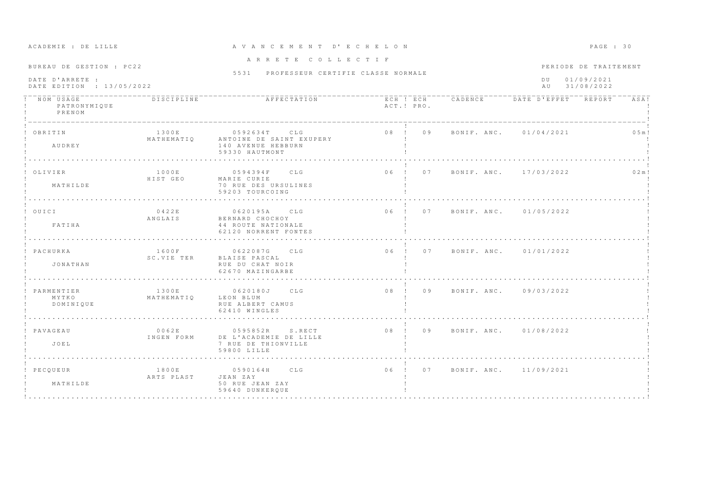| ACADEMIE : DE LILLE                                                      |                     | A V A N C E M E N T D' E C H E L O N                                             |              |                                |                        | PAGE : 30                                         |
|--------------------------------------------------------------------------|---------------------|----------------------------------------------------------------------------------|--------------|--------------------------------|------------------------|---------------------------------------------------|
| BUREAU DE GESTION : PC22<br>DATE D'ARRETE :<br>DATE EDITION : 13/05/2022 |                     | ARRETE COLLECTIF<br>5531 PROFESSEUR CERTIFIE CLASSE NORMALE                      |              |                                | D U<br>A U             | PERIODE DE TRAITEMENT<br>01/09/2021<br>31/08/2022 |
| NOM USAGE<br>PATRONYMIQUE<br>PRENOM                                      | DISCIPLINE          | AFFECTATION                                                                      | ACT.! PRO.   | ECH ! ECH CADENCE              | DATE D'EFFET REPORT    | ASA!                                              |
| OBRITIN<br>AUDREY                                                        | 1300E<br>MATHEMATIO | 0592634T CLG<br>ANTOINE DE SAINT EXUPERY<br>140 AVENUE HEBBURN<br>59330 HAUTMONT | 08 ! 09      |                                | BONIF. ANC. 01/04/2021 | $0.5 m$ !                                         |
| OLIVIER<br>MATHILDE                                                      | 1000E<br>HIST GEO   | CLG<br>0594394F<br>MARIE CURIE<br>70 RUE DES URSULINES<br>59203 TOURCOING        | $06$ !<br>07 |                                | BONIF, ANC, 17/03/2022 | 0.2 m!                                            |
| ! OUICI<br>FATIHA                                                        | 0422E<br>ANGLAIS    | 0620195A<br>CLG<br>BERNARD CHOCHOY<br>44 ROUTE NATIONALE<br>62120 NORRENT FONTES |              | 06 ! 07 BONIF. ANC. 01/05/2022 |                        |                                                   |
| PACHURKA<br>JONATHAN                                                     | 1600F<br>SC.VIE TER | 0622087G<br>CLG<br>BLAISE PASCAL<br>RUE DU CHAT NOIR<br>62670 MAZINGARBE         |              | 06 ! 07 BONIF. ANC. 01/01/2022 |                        |                                                   |
| PARMENTIER<br>MYTKO<br>DOMINIQUE                                         | 1300E<br>MATHEMATIQ | 0620180J CLG<br>LEON BLUM<br>RUE ALBERT CAMUS<br>62410 WINGLES                   | 08 ! 09      | BONIF. ANC. 09/03/2022         |                        |                                                   |
| ! PAVAGEAU<br>JOEL                                                       | 0062E<br>INGEN FORM | 0595852R S.RECT<br>DE L'ACADEMIE DE LILLE<br>7 RUE DE THIONVILLE<br>59800 LILLE  | 08 ! 09      | BONIF, ANC, 01/08/2022         |                        |                                                   |
| ! PECOUEUR<br>MATHILDE                                                   | 1800E<br>ARTS PLAST | 0590164H CLG<br>JEAN ZAY<br>50 RUE JEAN ZAY<br>59640 DUNKEROUE                   | 06 ! 07      |                                | BONIF. ANC. 11/09/2021 |                                                   |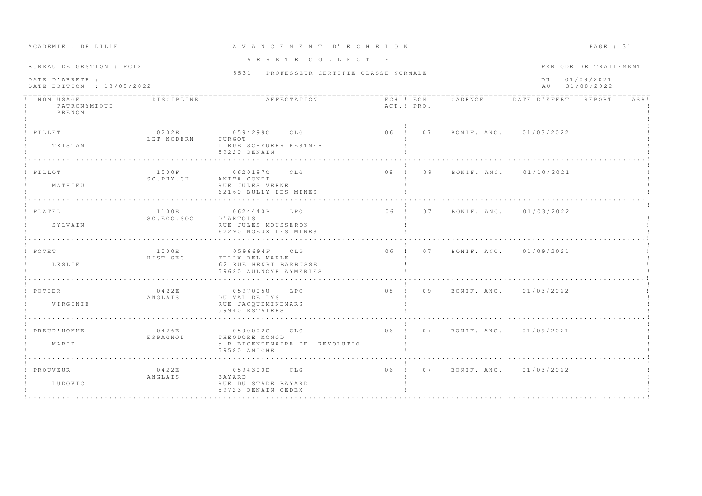| BUREAU DE GESTION : PC12                     |                     | ARRETE COLLECTIF                                                                   |                       |                                       |                        | PERIODE DE TRAITEMENT    |
|----------------------------------------------|---------------------|------------------------------------------------------------------------------------|-----------------------|---------------------------------------|------------------------|--------------------------|
|                                              |                     | 5531 PROFESSEUR CERTIFIE CLASSE NORMALE                                            |                       |                                       |                        |                          |
| DATE D'ARRETE :<br>DATE EDITION : 13/05/2022 |                     |                                                                                    |                       |                                       | D U<br>A U             | 01/09/2021<br>31/08/2022 |
| NOM USAGE<br>PATRONYMIQUE<br>PRENOM          | DISCIPLINE          | AFFECTATION                                                                        | ACT.! PRO.            | ECH ! ECH CADENCE DATE D'EFFET REPORT |                        | ASA!                     |
| PILLET<br>TRISTAN                            | 0202E<br>LET MODERN | 0594299C CLG<br>TURGOT<br>1 RUE SCHEURER KESTNER<br>59220 DENAIN                   |                       | 06 ! 07 BONIF. ANC. 01/03/2022        |                        |                          |
| ! PILLOT<br>MATHIEU                          | 1500F<br>SC.PHY.CH  | CLG<br>0620197C<br>ANITA CONTI<br>RUE JULES VERNE<br>62160 BULLY LES MINES         | 08 ! 09               |                                       | BONIF, ANC. 01/10/2021 |                          |
| ! PLATEL<br>SYLVAIN                          | 1100E<br>SC.ECO.SOC | 0624440P LPO<br>D'ARTOIS<br>RUE JULES MOUSSERON<br>62290 NOEUX LES MINES           |                       | 06 ! 07 BONIF ANC. 01/03/2022         |                        |                          |
| POTET<br>LESLIE                              | 1000E<br>HIST GEO   | 0596694F CLG<br>FELIX DEL MARLE<br>62 RUE HENRI BARBUSSE<br>59620 AULNOYE AYMERIES |                       | 06 ! 07 BONIF. ANC. 01/09/2021        |                        |                          |
| POTIER<br><b>VIRGINIE</b>                    | 0422E<br>ANGLAIS    | 0597005U LPO<br>DU VAL DE LYS<br>RUE JACOUEMINEMARS<br>59940 ESTAIRES              | 08 <sub>1</sub><br>09 | BONIF, ANC, 01/03/2022                |                        |                          |
| PREUD'HOMME<br>MARTE                         | 0426E<br>ESPAGNOL   | 0590002G CLG<br>THEODORE MONOD<br>5 R BICENTENAIRE DE REVOLUTIO<br>59580 ANICHE    |                       | 06 ! 07 BONIF. ANC. 01/09/2021        |                        |                          |
| PROUVEUR<br>LUDOVIC                          | 0422E<br>ANGLAIS    | 0594300D CLG<br>BAYARD<br>RUE DU STADE BAYARD<br>59723 DENAIN CEDEX                | $06$ !                | 07 BONIF, ANC. 01/03/2022             |                        |                          |

A CADEMIE : DE LILLE NE SOLO A V A N C E M E N T D'E C H E L O N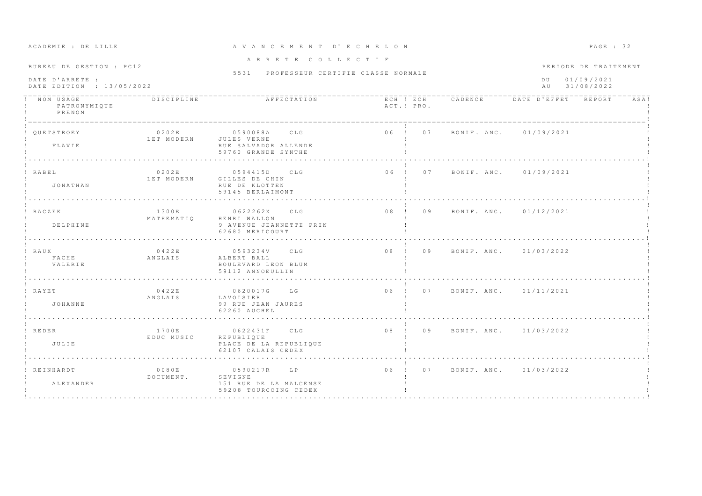| ACADEMIE ; DE BIBBE                          |                                 | AVANCEMENI                                                                 | B C H B B U N                  |                                       | raga : jz                      |      |
|----------------------------------------------|---------------------------------|----------------------------------------------------------------------------|--------------------------------|---------------------------------------|--------------------------------|------|
| BUREAU DE GESTION : PC12                     |                                 | ARRETE COLLECTIF                                                           |                                |                                       | PERIODE DE TRAITEMENT          |      |
| DATE D'ARRETE :<br>DATE EDITION : 13/05/2022 |                                 | 5531 PROFESSEUR CERTIFIE CLASSE NORMALE                                    |                                |                                       | DU 01/09/2021<br>AU 31/08/2022 |      |
| NOM USAGE<br>PATRONYMIQUE<br>PRENOM          | DISCIPLINE                      |                                                                            | ACT.! PRO.                     | ECH ! ECH CADENCE DATE D'EFFET REPORT |                                | ASA! |
| QUETSTROEY<br>FLAVIE                         | 0202E<br>LET MODERN JULES VERNE | 0590088A CLG<br>RUE SALVADOR ALLENDE<br>59760 GRANDE SYNTHE                |                                | 06 ! 07 BONIF ANC. 01/09/2021         |                                |      |
| ! RABEL<br>JONATHAN                          | 0202E<br>LET MODERN             | 0594415D CLG<br>GILLES DE CHIN<br>RUE DE KLOTTEN<br>59145 BERLAIMONT       | 06 ! 07 BONIF. ANC. 01/09/2021 |                                       |                                |      |
| ! RACZEK<br>DELPHINE                         | 1300E<br>MATHEMATIO             | 0622262X CLG<br>HENRI WALLON<br>9 AVENUE JEANNETTE PRIN<br>62680 MERICOURT | 08 ! 09 BONIF. ANC. 01/12/2021 |                                       |                                |      |
| ! RAUX<br>F A C H E<br>VALERIE               | 04225<br>ANGLAIS                | 0593234V CLG<br>ALBERT BALL<br>BOULEVARD LEON BLUM<br>59112 ANNOEULLIN     | 08 ! 09 BONIF. ANC. 01/03/2022 |                                       |                                |      |
| ! RAYET<br>JOHANNE                           | 0422E<br>ANGLAIS                | 0620017G LG<br>LAVOISIER<br>99 RUE JEAN JAURES<br>62260 AUCHEL             | 06 ! 07 BONIF ANC 01/11/2021   |                                       |                                |      |
| ! REDER<br>JULIE                             | 1700E<br>EDUC MUSIC             | 0622431F CLG<br>REPUBLIQUE<br>PLACE DE LA REPUBLIQUE<br>62107 CALAIS CEDEX | 08 ! 09 BONIF. ANC. 01/03/2022 |                                       |                                |      |
| ! REINHARDT<br>ALEXANDER                     | 0080E<br>DOCUMENT.              | 0590217R LP<br>SEVIGNE<br>151 RUE DE LA MALCENSE<br>59208 TOURCOING CEDEX  | 06 ! 07 BONIF ANC. 01/03/2022  |                                       |                                |      |

### A CA DE VAN CE MENT, ON A VAN CE MENT, ON A GE E E LO DACE : 32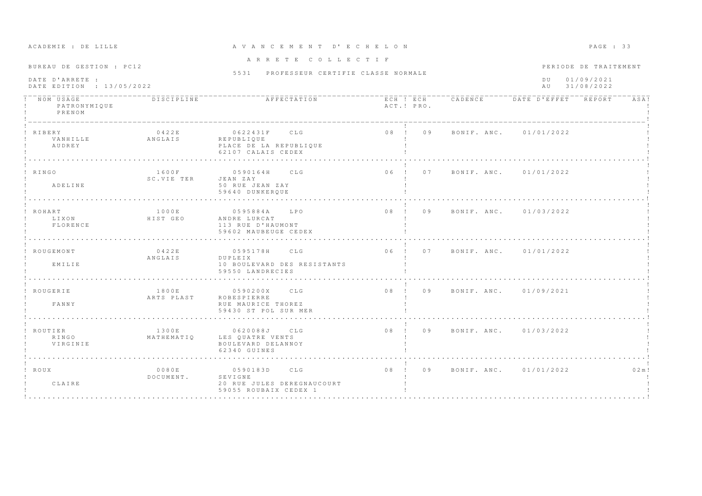| ACADEMIE : DE LILLE                                                      |                     | A V A N C E M E N T D' E C H E L O N                                              |                                |                   |                                | PAGE : 33                                         |
|--------------------------------------------------------------------------|---------------------|-----------------------------------------------------------------------------------|--------------------------------|-------------------|--------------------------------|---------------------------------------------------|
| BUREAU DE GESTION : PC12<br>DATE D'ARRETE :<br>DATE EDITION : 13/05/2022 |                     | ARRETE COLLECTIF<br>5531 PROFESSEUR CERTIFIE CLASSE NORMALE                       |                                |                   | D U<br>AU                      | PERIODE DE TRAITEMENT<br>01/09/2021<br>31/08/2022 |
| NOM USAGE<br>PATRONYMIQUE<br>PRENOM                                      | DISCIPLINE          | AFFECTATION                                                                       | ACT.! PRO.                     | ECH ! ECH CADENCE | DATE D'EFFET REPORT            | ASA!                                              |
| <b>RTBERY</b><br>VANHILLE<br>AUDREY                                      | 0422E<br>ANGLAIS    | 0622431F CLG<br><b>REPUBLIQUE</b><br>PLACE DE LA REPUBLIQUE<br>62107 CALAIS CEDEX | 08 ! 09                        |                   | BONIF. ANC. 01/01/2022         |                                                   |
| ! RINGO<br>ADELINE                                                       | 1600F<br>SC.VIE TER | 0590164H CLG<br>JEAN ZAY<br>50 RUE JEAN ZAY<br>59640 DUNKERQUE                    | $06$ !<br>07                   |                   | BONIF, ANC. 01/01/2022         |                                                   |
| ROHART<br>LIXON<br>FLORENCE                                              | 1000E<br>HIST GEO   | 0595884A<br>LPO<br>ANDRE LURCAT<br>113 RUE D'HAUMONT<br>59602 MAUBEUGE CEDEX      | 08 ! 09                        |                   | BONIF, ANC. 01/03/2022         |                                                   |
| ROUGEMONT<br>EMILIE                                                      | 0422E<br>ANGLAIS    | 0595178H CLG<br>DUPLEIX<br>10 BOULEVARD DES RESISTANTS<br>59550 LANDRECIES        |                                |                   | 06 ! 07 BONIF, ANC, 01/01/2022 |                                                   |
| ! ROUGERIE<br>FANNY                                                      | 1800E<br>ARTS PLAST | 0590200X CLG<br><b>ROBESPIERRE</b><br>RUE MAURICE THOREZ<br>59430 ST POL SUR MER  | 08 ! 09 BONIF, ANC, 01/09/2021 |                   |                                |                                                   |
| ROUTIER<br>RINGO<br>VIRGINIE                                             | 1300E<br>MATHEMATIO | 0620088J CLG<br>LES OUATRE VENTS<br>BOULEVARD DELANNOY<br>62340 GUINES            | 08 ! 09                        |                   | BONIF, ANC. 01/03/2022         |                                                   |
| ! ROUX<br>CLAIRE                                                         | 0080E<br>DOCUMENT.  | 0590183D CLG<br>SEVIGNE<br>20 RUE JULES DEREGNAUCOURT<br>59055 ROUBAIX CEDEX 1    | 08 ! 09                        |                   | BONIF. ANC. 01/01/2022         | 0.2 m!                                            |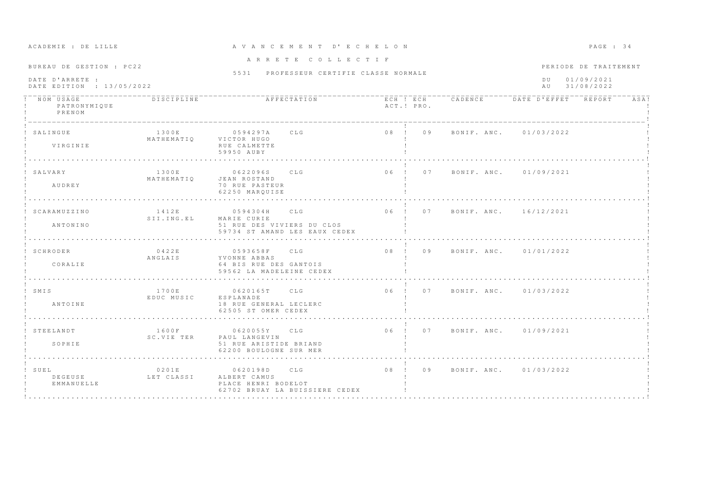| BUREAU DE GESTION : PC22                     |                     |                                                                                            | ARRETE COLLECTIF                        |                                       |        | PERIODE DE TRAITEMENT       |      |
|----------------------------------------------|---------------------|--------------------------------------------------------------------------------------------|-----------------------------------------|---------------------------------------|--------|-----------------------------|------|
| DATE D'ARRETE :<br>DATE EDITION : 13/05/2022 |                     |                                                                                            | 5531 PROFESSEUR CERTIFIE CLASSE NORMALE |                                       | $D$ II | 01/09/2021<br>AU 31/08/2022 |      |
| NOM USAGE<br>PATRONYMIQUE<br>PRENOM          | DISCIPLINE          | AFFECTATION                                                                                | ACT.! PRO.                              | ECH ! ECH CADENCE DATE D'EFFET REPORT |        |                             | ASA! |
| SALINGUE<br>VIRGINIE                         | 1300E<br>MATHEMATIO | 0594297A CLG<br>VICTOR HUGO<br>RUE CALMETTE<br>59950 AUBY                                  |                                         | 08 ! 09 BONIF. ANC. 01/03/2022        |        |                             |      |
| SALVARY<br>AUDREY                            | 1300E<br>MATHEMATIQ | CLG<br>0622096S<br>JEAN ROSTAND<br>70 RUE PASTEUR<br>62250 MAROUISE                        | 06 ! 07                                 | BONIF. ANC. 01/09/2021                |        |                             |      |
| SCARAMUZZINO<br>ANTONINO                     | 1412E<br>SII.ING.EL | 0594304H CLG<br>MARIE CURIE<br>51 RUE DES VIVIERS DU CLOS<br>59734 ST AMAND LES EAUX CEDEX |                                         | 06 ! 07 BONIF. ANC. 16/12/2021        |        |                             |      |
| SCHRODER<br>CORALIE                          | 0422E<br>ANGLAIS    | 0593658F CLG<br>YVONNE ABBAS<br>64 BIS RUE DES GANTOIS<br>59562 LA MADELEINE CEDEX         |                                         | 08 ! 09 BONIF ANC. 01/01/2022         |        |                             |      |
| ! SMIS<br>ANTOINE                            | 1700E<br>EDUC MUSIC | 0620165T CLG<br>ESPLANADE<br>18 RUE GENERAL LECLERC<br>62505 ST OMER CEDEX                 |                                         | 06 ! 07 BONIF ANC. 01/03/2022         |        |                             |      |
| STEELANDT<br>SOPHIE                          | 1600F<br>SC.VIE TER | 0620055Y CLG<br>PAUL LANGEVIN<br>51 RUE ARISTIDE BRIAND<br>62200 BOULOGNE SUR MER          |                                         | 06 ! 07 BONIF. ANC. 01/09/2021        |        |                             |      |
| ! SUEL<br>DEGEUSE<br>EMMANUELLE              | 0201E<br>LET CLASSI | 0620198D<br>CLG<br>ALBERT CAMUS<br>PLACE HENRI BODELOT<br>62702 BRUAY LA BUISSIERE CEDEX   | 08 ! 09                                 | BONIF, ANC, 01/03/2022                |        |                             |      |

A CADEMIE : DE LILLE ET A V A N C E M E N T D'E C H E L O N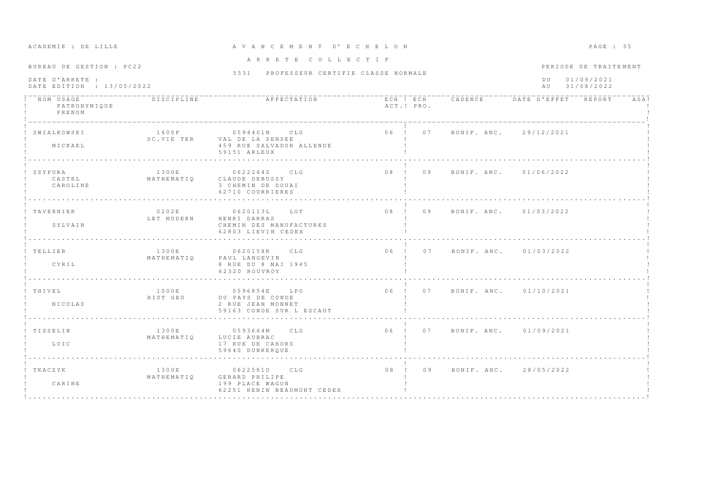| BUREAU DE GESTION : PC22                     |                     | ARRETE COLLECTIF                                                                          |            |                                | PERIODE DE TRAITEMENT          |      |
|----------------------------------------------|---------------------|-------------------------------------------------------------------------------------------|------------|--------------------------------|--------------------------------|------|
| DATE D'ARRETE :<br>DATE EDITION : 13/05/2022 |                     | 5531 PROFESSEUR CERTIFIE CLASSE NORMALE                                                   |            |                                | DU 01/09/2021<br>AU 31/08/2022 |      |
| NOM USAGE<br>PATRONYMIQUE<br>PRENOM          | <b>DISCIPLINE</b>   |                                                                                           | ACT.! PRO. |                                |                                | ASA! |
| SWIALKOWSKI<br>MICKAEL                       | 1600F               | 0594401N CLG<br>SC.VIE TER VAL DE LA SENSEE<br>459 RUE SALVADOR ALLENDE<br>59151 ARLEUX   |            | 06 ! 07 BONIF. ANC. 29/12/2021 |                                |      |
| ! SZYPURA<br>CASTEL<br>CAROLINE              | 1300E               | 0622264Z CLG<br>MATHEMATIQ CLAUDE DEBUSSY<br>3 CHEMIN DE DOUAI<br>62710 COURRIERES        |            | 08 ! 09 BONIF. ANC. 01/06/2022 |                                |      |
| ! TAVERNIER<br>SYLVAIN                       | LET MODERN          | $0 2 0 2 E$ 0620113L LGT<br>HENRI DARRAS<br>CHEMIN DES MANUFACTURES<br>62803 LIEVIN CEDEX |            | 08 ! 09 BONIF ANC 01/03/2022   |                                |      |
| ! TELLIER<br>CYRIL                           | 1300E<br>MATHEMATIO | 0620158K CLG<br>PAUL LANGEVIN<br>8 RUE DU 8 MAI 1945<br>62320 ROUVROY                     |            | 06 ! 07 BONIF. ANC. 01/03/2022 |                                |      |
| ! THIVEL<br><b>NICOLAS</b>                   | 1000E<br>HIST GEO   | 0596854E LPO<br>DU PAYS DE CONDE<br>2 RUE JEAN MONNET<br>59163 CONDE SUR L ESCAUT         |            | 06 ! 07 BONIF. ANC. 01/10/2021 |                                |      |
| ! TISSELIN<br>LOIC                           | 1300E<br>MATHEMATIO | 0593664M CLG<br>LUCIE AUBRAC<br>17 RUE DE CAHORS<br>59640 DUNKERQUE                       |            | 06 ! 07 BONIF. ANC. 01/09/2021 |                                |      |
| ! TKACZYK<br>CARINE                          | 1300E<br>MATHEMATIQ | 0622581U CLG<br>GERARD PHILIPE<br>199 PLACE WAGON<br>62251 HENIN BEAUMONT CEDEX           |            | 08 ! 09 BONIF. ANC. 28/05/2022 |                                |      |

## A CA DREATH A C E M E N T D'E C H E LON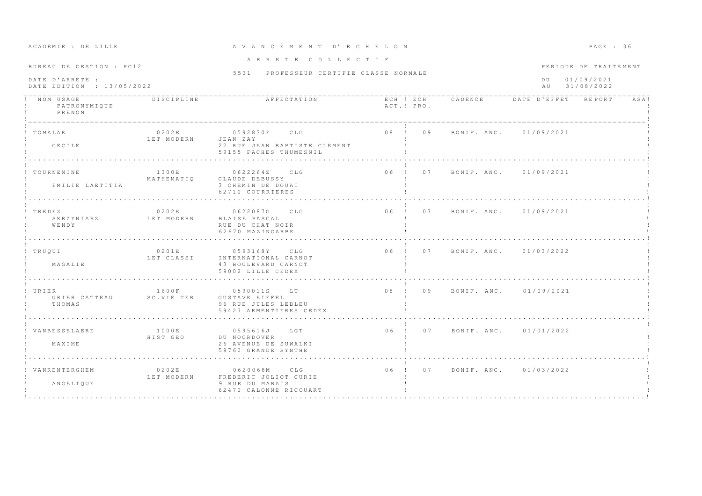|                                                              |                              | ARRETE COLLECTIF                                                                 |            |  |                                |  |                       |      |
|--------------------------------------------------------------|------------------------------|----------------------------------------------------------------------------------|------------|--|--------------------------------|--|-----------------------|------|
| BUREAU DE GESTION : PC12                                     |                              | 5531 PROFESSEUR CERTIFIE CLASSE NORMALE                                          |            |  |                                |  | PERIODE DE TRAITEMENT |      |
| DATE D'ARRETE :<br>DATE EDITION : 13/05/2022                 |                              |                                                                                  |            |  | DU 01/09/2021<br>AU 31/08/2022 |  |                       |      |
| ! NOM USAGE<br>! PATRONYMIQUE<br>PRENOM                      | <b>DISCIPLINE</b>            |                                                                                  | ACT.! PRO. |  |                                |  |                       | ASA! |
| ! TOMALAK<br>CECILE                                          | 0202E<br>LET MODERN JEAN ZAY | 0592830F CLG<br>22 RUE JEAN BAPTISTE CLEMENT<br>59155 FACHES THUMESNIL           |            |  | 08 ! 09 BONIF. ANC. 01/09/2021 |  |                       |      |
|                                                              |                              |                                                                                  |            |  |                                |  |                       |      |
| ! TOURNEMINE<br>EMILIE LAETITIA                              | 1300E                        | 0622264Z CLG<br>MATHEMATIO CLAUDE DEBUSSY<br>3 CHEMIN DE DOUAI                   |            |  | 06 ! 07 BONIF. ANC. 01/09/2021 |  |                       |      |
|                                                              |                              | 62710 COURRIERES                                                                 |            |  |                                |  |                       |      |
| ! TREDEZ<br>SKRZYNIARZ LET MODERN<br>WENDY                   |                              | 0202E 0622087G CLG<br>BLAISE PASCAL<br>RUE DU CHAT NOIR<br>62670 MAZINGARBE      |            |  | 06 ! 07 BONIF. ANC. 01/09/2021 |  |                       |      |
|                                                              |                              |                                                                                  |            |  |                                |  |                       |      |
| ! TRUOUI<br>MAGALIE                                          | 0201E<br>LET CLASSI          | 0593168Y CLG<br>INTERNATIONAL CARNOT<br>43 BOULEVARD CARNOT<br>59002 LILLE CEDEX |            |  | 06 ! 07 BONIF. ANC. 01/03/2022 |  |                       |      |
|                                                              |                              |                                                                                  |            |  |                                |  |                       |      |
| ! URIER<br>URIER CATTEAU SC.VIE TER GUSTAVE EIFFEL<br>THOMAS | 1600F                        | 0590011S LT<br>96 RUE JULES LEBLEU<br>59427 ARMENTIERES CEDEX                    |            |  | 08 ! 09 BONIF. ANC. 01/09/2021 |  |                       |      |
| ! VANBESSELAERE<br>MAXIME                                    | 1000E<br>HIST GEO            | 0595616J LGT<br>DU NOORDOVER<br>26 AVENUE DE SUWALKI                             |            |  | 06 ! 07 BONIF. ANC. 01/01/2022 |  |                       |      |
|                                                              |                              | 59760 GRANDE SYNTHE                                                              |            |  |                                |  |                       |      |
| ! VANRENTERGHEM                                              | 0202E                        | 0620068M CLG                                                                     |            |  | 06 ! 07 BONIF ANC 01/03/2022   |  |                       |      |
| ANGELIQUE                                                    |                              | LET MODERN FREDERIC JOLIOT CURIE<br>9 RUE DU MARAIS<br>62470 CALONNE RICOUART    |            |  |                                |  |                       |      |

# A CA DREATH A C E M E N T D'E C H E LO N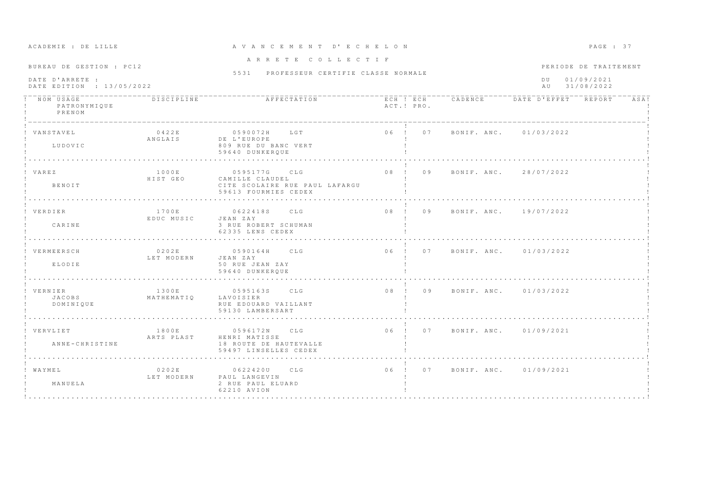| ACADEMIE : DE LILLE                                                      |                         | A V A N C E M E N T D' E C H E L O N                                                      |              |                                | PAGE : 37                                                   |      |  |
|--------------------------------------------------------------------------|-------------------------|-------------------------------------------------------------------------------------------|--------------|--------------------------------|-------------------------------------------------------------|------|--|
| BUREAU DE GESTION : PC12<br>DATE D'ARRETE :<br>DATE EDITION : 13/05/2022 |                         | ARRETE COLLECTIF<br>5531 PROFESSEUR CERTIFIE CLASSE NORMALE                               |              |                                | PERIODE DE TRAITEMENT<br>01/09/2021<br>D U<br>AU 31/08/2022 |      |  |
| PATRONYMIQUE<br>PRENOM                                                   |                         | AFFECTATION                                                                               | ACT.! PRO.   |                                | ECH ! ECH CADENCE DATE D'EFFET REPORT                       | ASA! |  |
| VANSTAVEL<br>LUDOVIC                                                     | 0422E<br>ANGLAIS        | 0590072H LGT<br>DE L'EUROPE<br>809 RUE DU BANC VERT<br>59640 DUNKEROUE                    |              | 06 ! 07 BONIF. ANC. 01/03/2022 |                                                             |      |  |
| VAREZ<br><b>BENOIT</b>                                                   | 1000E<br>HIST GEO       | 0595177G CLG<br>CAMILLE CLAUDEL<br>CITE SCOLAIRE RUE PAUL LAFARGU<br>59613 FOURMIES CEDEX | 08 ! 09      |                                | BONIF, ANC. 28/07/2022                                      |      |  |
| VERDIER<br>CARINE                                                        | 1700 F.<br>EDUC MUSIC   | 0622418S CLG<br>JEAN ZAY<br>3 RUE ROBERT SCHUMAN<br>62335 LENS CEDEX                      |              | 08 ! 09 BONIF. ANC. 19/07/2022 |                                                             |      |  |
| VERMEERSCH<br>ELODIE                                                     | 0202E<br>LET MODERN     | 0590164H CLG<br>JEAN ZAY<br>50 RUE JEAN ZAY<br>59640 DUNKEROUE                            |              | 06 ! 07 BONIF. ANC. 01/03/2022 |                                                             |      |  |
| ! VERNIER<br>JACOBS<br>DOMINIQUE                                         | 1300E<br>MATHEMATIQ     | 0595163S CLG<br>LAVOISIER<br>RUE EDOUARD VAILLANT<br>59130 LAMBERSART                     |              | 08 ! 09 BONIF. ANC. 01/03/2022 |                                                             |      |  |
| ! VERVLIET<br>ANNE-CHRISTINE                                             | ARTS PLAST              | 1800E 0596172N CLG<br>HENRI MATISSE<br>18 ROUTE DE HAUTEVALLE<br>59497 LINSELLES CEDEX    |              | 06 ! 07 BONIF. ANC. 01/09/2021 |                                                             |      |  |
| WAYMEL<br>MANUELA                                                        | 0 2 0 2 E<br>LET MODERN | 0622420U CLG<br>PAUL LANGEVIN<br>2 RUE PAUL ELUARD<br>62210 AVION                         | $06$ !<br>07 |                                | BONIF, ANC. 01/09/2021                                      |      |  |